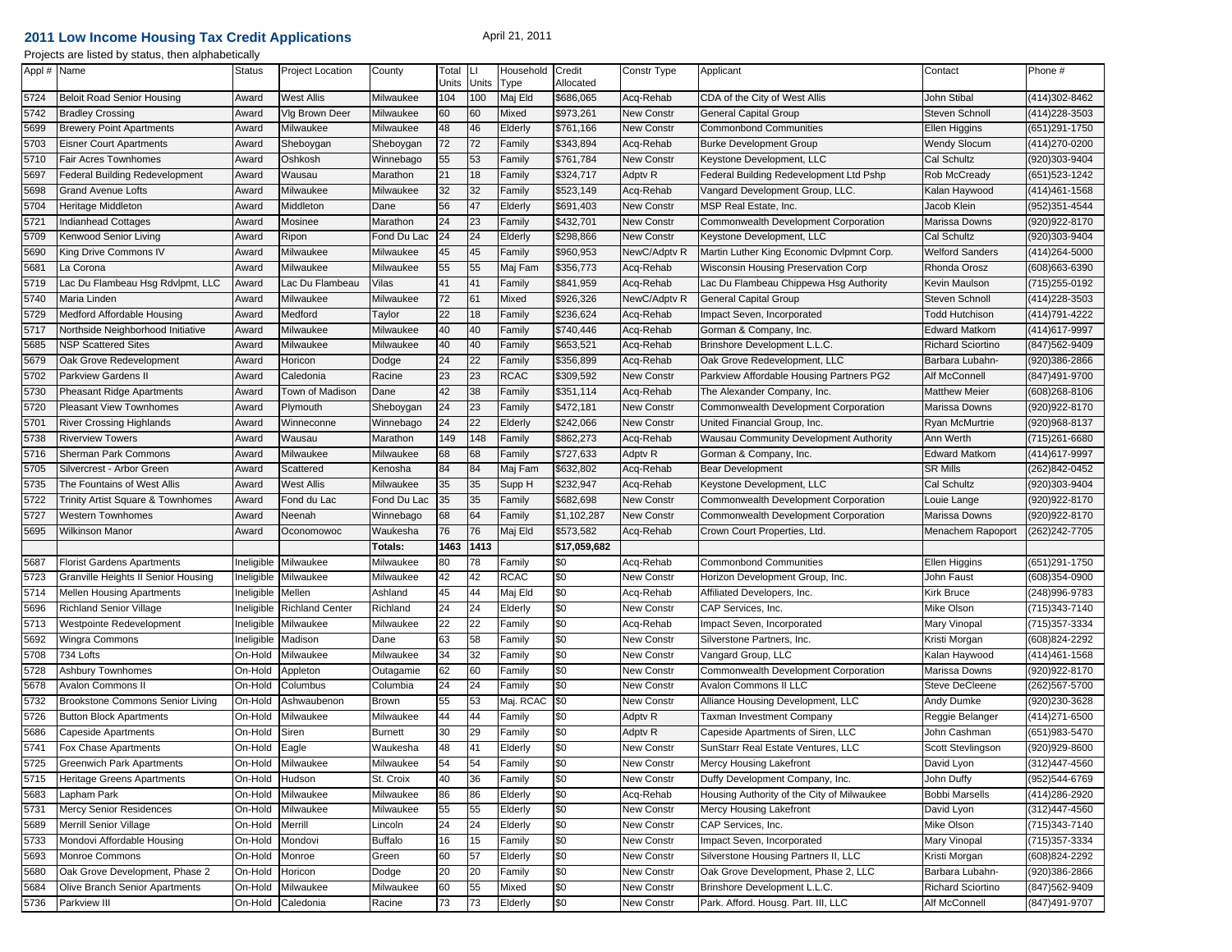## **2011 Low Income Housing Tax Credit Applications**

## April 21, 2011

| Projects are listed by status, then alphabetically |  |  |
|----------------------------------------------------|--|--|
|----------------------------------------------------|--|--|

| 100<br>5724<br><b>West Allis</b><br>Milwaukee<br>104<br>Maj Eld<br>\$686,065<br>Acq-Rehab<br>CDA of the City of West Allis<br>John Stibal<br>(414)302-8462<br><b>Beloit Road Senior Housing</b><br>Award<br>5742<br>Vig Brown Deer<br>60<br>60<br>\$973,261<br>Steven Schnoll<br>414) 228-3503<br><b>Bradley Crossing</b><br>Milwaukee<br>Mixed<br>New Constr<br><b>General Capital Group</b><br>Award<br>48<br>46<br>\$761,166<br>5699<br><b>Brewery Point Apartments</b><br>Award<br>Milwaukee<br>Milwaukee<br>Elderly<br>New Constr<br><b>Commonbond Communities</b><br>Ellen Higgins<br>(651)291-1750<br>5703<br>72<br>72<br>\$343,894<br><b>Wendy Slocum</b><br><b>Eisner Court Apartments</b><br>Award<br>Sheboygan<br>Sheboygan<br><sup>=</sup> amily<br>Acq-Rehab<br><b>Burke Development Group</b><br>(414) 270-0200<br>5710<br>55<br>53<br>\$761,784<br>Cal Schultz<br>Fair Acres Townhomes<br>Oshkosh<br>Winnebago<br>New Constr<br>Keystone Development, LLC<br>(920)303-9404<br>Award<br>Family<br>18<br>\$324,717<br>5697<br>Federal Building Redevelopment<br>Wausau<br>Marathon<br>21<br>Adptv R<br>Federal Building Redevelopment Ltd Pshp<br>Rob McCready<br>(651) 523-1242<br>Award<br>Family<br>5698<br>32<br>32<br>\$523,149<br>Vangard Development Group, LLC.<br><b>Grand Avenue Lofts</b><br>Award<br>Milwaukee<br>Milwaukee<br>Acq-Rehab<br>Kalan Haywood<br>(414)461-1568<br>Family<br>5704<br>56<br>47<br>MSP Real Estate, Inc.<br>Heritage Middleton<br>Middleton<br>Dane<br>Elderly<br>\$691,403<br><b>New Constr</b><br>Jacob Klein<br>(952)351-4544<br>Award<br>24<br>23<br>\$432,701<br>5721<br>Indianhead Cottages<br>Mosinee<br>Marathon<br>Family<br><b>New Constr</b><br>Commonwealth Development Corporation<br>Marissa Downs<br>(920)922-8170<br>Award<br>5709<br>24<br>24<br>\$298,866<br>Cal Schultz<br>Kenwood Senior Living<br>Award<br>Fond Du Lac<br>Elderly<br><b>New Constr</b><br>Keystone Development, LLC<br>(920)303-9404<br>Ripon<br>5690<br>45<br>45<br>\$960,953<br>Martin Luther King Economic Dvlpmnt Corp.<br>King Drive Commons IV<br>Milwaukee<br>Milwaukee<br>Family<br>NewC/Adptv R<br><b>Welford Sanders</b><br>(414)264-5000<br>Award<br>\$356,773<br>55<br>55<br>5681<br>La Corona<br>Award<br>Milwaukee<br>Milwaukee<br>Maj Fam<br>Acq-Rehab<br>Wisconsin Housing Preservation Corp<br>Rhonda Orosz<br>(608) 663-6390<br>5719<br>Lac Du Flambeau Hsg Rdvlpmt, LLC<br>ac Du Flambeau<br>41<br>41<br>\$841,959<br>Acq-Rehab<br>Lac Du Flambeau Chippewa Hsq Authority<br>Award<br>Vilas<br>Kevin Maulson<br>(715)255-0192<br>Family<br>5740<br>72<br>\$926,326<br>Milwaukee<br>Milwaukee<br>61<br>Mixed<br>NewC/Adptv R<br><b>General Capital Group</b><br>Steven Schnoll<br>(414)228-3503<br>Maria Linden<br>Award<br>5729<br>Medford Affordable Housing<br>22<br>18<br>\$236,624<br>(414)791-4222<br>Award<br>Medford<br><sup>=</sup> amily<br>Acq-Rehab<br>Impact Seven, Incorporated<br><b>Todd Hutchison</b><br>Taylor<br>5717<br>40<br>40<br>\$740,446<br><b>Edward Matkom</b><br>(414)617-9997<br>Northside Neighborhood Initiative<br>Award<br>Milwaukee<br>Milwaukee<br>Acq-Rehab<br>Gorman & Company, Inc.<br>Family<br>5685<br>40<br>40<br>\$653,521<br>Brinshore Development L.L.C.<br><b>NSP Scattered Sites</b><br>Milwaukee<br>Milwaukee<br>Acq-Rehab<br><b>Richard Sciortino</b><br>(847)562-9409<br>Award<br>Family<br>22<br>24<br>\$356,899<br>5679<br>Oak Grove Redevelopment<br>Award<br>Horicon<br>Family<br>Acq-Rehab<br>Oak Grove Redevelopment, LLC<br>Barbara Lubahn-<br>920)386-2866<br>Dodge<br>5702<br>23<br>23<br><b>RCAC</b><br>\$309,592<br>Parkview Affordable Housing Partners PG2<br>Alf McConnell<br>(847)491-9700<br>Parkview Gardens II<br>Award<br>Caledonia<br>Racine<br>New Constr<br>42<br>5730<br>Pheasant Ridge Apartments<br>Town of Madison<br>Dane<br>38<br>\$351,114<br>Acq-Rehab<br>The Alexander Company, Inc.<br><b>Matthew Meier</b><br>(608) 268-8106<br>Award<br>Family<br>24<br>23<br>\$472,181<br>5720<br>Commonwealth Development Corporation<br>Marissa Downs<br>920)922-8170<br><b>Pleasant View Townhomes</b><br>Award<br>Plymouth<br>Sheboygan<br>Family<br>New Constr<br>5701<br>24<br>22<br>\$242,066<br><b>River Crossing Highlands</b><br>Award<br>Winneconne<br>Winnebago<br>Elderly<br><b>New Constr</b><br>United Financial Group, Inc.<br>Ryan McMurtrie<br>(920)968-8137<br>148<br>5738<br>149<br>\$862,273<br>Ann Werth<br><b>Riverview Towers</b><br>Wausau<br>Marathon<br>Family<br>Acq-Rehab<br>Wausau Community Development Authority<br>(715)261-6680<br>Award<br>5716<br>68<br>68<br>\$727,633<br><b>Edward Matkom</b><br><b>Sherman Park Commons</b><br>Milwaukee<br>Milwaukee<br>Adptv R<br>Gorman & Company, Inc.<br>414)617-9997<br>Award<br>Family<br>5705<br>84<br>84<br>\$632,802<br><b>SR Mills</b><br>(262)842-0452<br>Silvercrest - Arbor Green<br>Award<br>Scattered<br>Kenosha<br>Maj Fam<br>Acq-Rehab<br><b>Bear Development</b><br>5735<br>35<br>35<br>Cal Schultz<br>The Fountains of West Allis<br>Award<br>West Allis<br>Milwaukee<br>\$232,947<br>Acq-Rehab<br>Keystone Development, LLC<br>(920)303-9404<br>Supp H<br>5722<br>35<br>35<br>\$682,698<br>Trinity Artist Square & Townhomes<br>Fond du Lac<br>Fond Du Lac<br>Family<br>New Constr<br>Commonwealth Development Corporation<br>920)922-8170<br>Award<br>_ouie Lange<br>5727<br>68<br>64<br>\$1,102,287<br>(920) 922-8170<br>Western Townhomes<br>Award<br>Winnebago<br>Family<br><b>New Constr</b><br>Commonwealth Development Corporation<br>Marissa Downs<br>Neenah<br>5695<br>76<br>76<br>Maj Eld<br>\$573,582<br>Wilkinson Manor<br>Award<br>Waukesha<br>Acq-Rehab<br>Crown Court Properties, Ltd.<br>(262)242-7705<br>Oconomowoc<br>Menachem Rapoport<br>1413<br>1463<br>\$17,059,682<br>Totals:<br>651)291-1750<br>5687<br><b>Florist Gardens Apartments</b><br>Ineligible<br>Milwaukee<br>Milwaukee<br>80<br>78<br>\$0<br>Acq-Rehab<br><b>Commonbond Communities</b><br>Ellen Higgins<br>Family<br>5723<br>42<br>42<br>RCAC<br>\$0<br>Granville Heights II Senior Housing<br>Milwaukee<br><b>New Constr</b><br>Horizon Development Group, Inc.<br>John Faust<br>(608)354-0900<br>neligible<br>Milwaukee<br>45<br>44<br>Maj Eld<br>\$0<br>5714<br>Mellen Housing Apartments<br>neligible<br>Mellen<br>Ashland<br>Acq-Rehab<br>Affiliated Developers, Inc.<br>Kirk Bruce<br>(248)996-9783<br>24<br>5696<br>Richland<br>24<br>\$0<br>CAP Services, Inc.<br>Mike Olson<br>Richland Senior Village<br>neligible<br><b>Richland Center</b><br>Elderly<br><b>New Constr</b><br>(715)343-7140<br>5713<br>22<br>22<br>\$0<br>Westpointe Redevelopment<br>Milwaukee<br>Acq-Rehab<br>Impact Seven, Incorporated<br>Mary Vinopal<br>(715)357-3334<br>neligible<br>Milwaukee<br>Family<br>5692<br>63<br>58<br>\$0<br>(608) 824-2292<br>Wingra Commons<br>neligible<br>Madison<br>Dane<br><b>New Constr</b><br>Silverstone Partners, Inc.<br>Kristi Morgan<br>Family<br>34<br>5708<br>734 Lofts<br>32<br>\$0<br>Vangard Group, LLC<br>On-Hold<br>Milwaukee<br>Milwaukee<br><b>New Constr</b><br>Kalan Haywood<br>(414)461-1568<br>Family<br>5728<br>62<br>60<br>\$0<br><b>Ashbury Townhomes</b><br>On-Hold<br>New Constr<br>Commonwealth Development Corporation<br>Marissa Downs<br>920)922-8170<br>Appleton<br>Outagamie<br>Family<br>24<br>24<br>\$0<br>5678<br>Avalon Commons II<br>On-Hold<br>Columbus<br>Columbia<br>New Constr<br><b>Avalon Commons II LLC</b><br>Steve DeCleene<br>(262)567-5700<br>Family<br>55<br>53<br>5732<br>\$0<br>Brookstone Commons Senior Living<br>On-Hold<br>Ashwaubenon<br>Brown<br>Maj. RCAC<br>New Constr<br>Alliance Housing Development, LLC<br>Andy Dumke<br>(920)230-3628<br>5726<br>44<br>44<br>\$0<br>414) 271-6500<br><b>Button Block Apartments</b><br>On-Hold<br>Milwaukee<br>Adptv R<br>Taxman Investment Company<br>Reggie Belanger<br>Milwaukee<br>Family<br>29<br>\$0<br>Capeside Apartments of Siren, LLC<br>(651) 983-5470<br>5686<br><b>Capeside Apartments</b><br>On-Hold<br><b>Burnett</b><br>30<br>Adptv R<br>John Cashman<br>Siren<br>Family<br>48<br>5741<br>41<br>\$0<br>(920) 929-8600<br>Fox Chase Apartments<br>On-Hold<br>Waukesha<br>Elderly<br>New Constr<br>SunStarr Real Estate Ventures, LLC<br>Scott Stevlingson<br>Eagle<br>5725<br>Greenwich Park Apartments<br>On-Hold<br>Milwaukee<br>Milwaukee<br>54<br>-54<br>Family<br>\$0<br>New Constr<br>Mercy Housing Lakefront<br>David Lyon<br>(312)447-4560<br>\$0<br>40<br>36<br><b>New Constr</b><br>Duffy Development Company, Inc.<br>John Duffy<br>(952)544-6769<br>5715<br>Heritage Greens Apartments<br>On-Hold<br>Hudson<br>St. Croix<br>Family<br>Milwaukee<br>86<br>\$0<br>Acq-Rehab<br>Housing Authority of the City of Milwaukee<br><b>Bobbi Marsells</b><br>(414)286-2920<br>5683<br>Lapham Park<br>On-Hold<br>Milwaukee<br>86<br>Elderly<br>5731<br>Mercy Senior Residences<br>Milwaukee<br>55<br>55<br>\$0<br>Mercy Housing Lakefront<br>David Lyon<br>(312)447-4560<br>On-Hold<br>Milwaukee<br>Elderly<br>New Constr<br>\$0<br>CAP Services, Inc.<br>Mike Olson<br>$(715)343 - 7140$<br>5689<br>Merrill Senior Village<br>On-Hold<br>Merrill<br>24<br>24<br>Elderly<br>New Constr<br>Lincoln<br>5733<br>Mondovi Affordable Housing<br>On-Hold<br><b>Buffalo</b><br>16<br>15<br>\$0<br>Impact Seven, Incorporated<br>Mary Vinopal<br>(715) 357-3334<br>Mondovi<br>Family<br>New Constr<br>Silverstone Housing Partners II, LLC<br>5693<br>Monroe Commons<br>57<br>\$0<br>Kristi Morgan<br>(608) 824-2292<br>On-Hold<br>Monroe<br>Green<br>60<br>Elderly<br><b>New Constr</b><br>Oak Grove Development, Phase 2<br>\$0<br>Barbara Lubahn-<br>5680<br>On-Hold<br>Horicon<br>20<br>20<br><b>New Constr</b><br>Oak Grove Development, Phase 2, LLC<br>(920)386-2866<br>Dodge<br>Family<br>5684<br>Olive Branch Senior Apartments<br>60<br>55<br>\$0<br>Brinshore Development L.L.C.<br>Richard Sciortino<br>(847) 562-9409<br>On-Hold<br>Milwaukee<br>Milwaukee<br>Mixed<br><b>New Constr</b><br>73<br>73<br>\$0<br>Park. Afford. Housg. Part. III, LLC<br>Alf McConnell<br>(847) 491-9707<br>5736<br>Parkview III<br>On-Hold Caledonia<br>Racine<br>Elderly<br>New Constr | Appl # Name | <b>Status</b> | <b>Project Location</b> | County | Total | Units | Household | Credit    | Constr Type | Applicant | Contact | Phone # |
|----------------------------------------------------------------------------------------------------------------------------------------------------------------------------------------------------------------------------------------------------------------------------------------------------------------------------------------------------------------------------------------------------------------------------------------------------------------------------------------------------------------------------------------------------------------------------------------------------------------------------------------------------------------------------------------------------------------------------------------------------------------------------------------------------------------------------------------------------------------------------------------------------------------------------------------------------------------------------------------------------------------------------------------------------------------------------------------------------------------------------------------------------------------------------------------------------------------------------------------------------------------------------------------------------------------------------------------------------------------------------------------------------------------------------------------------------------------------------------------------------------------------------------------------------------------------------------------------------------------------------------------------------------------------------------------------------------------------------------------------------------------------------------------------------------------------------------------------------------------------------------------------------------------------------------------------------------------------------------------------------------------------------------------------------------------------------------------------------------------------------------------------------------------------------------------------------------------------------------------------------------------------------------------------------------------------------------------------------------------------------------------------------------------------------------------------------------------------------------------------------------------------------------------------------------------------------------------------------------------------------------------------------------------------------------------------------------------------------------------------------------------------------------------------------------------------------------------------------------------------------------------------------------------------------------------------------------------------------------------------------------------------------------------------------------------------------------------------------------------------------------------------------------------------------------------------------------------------------------------------------------------------------------------------------------------------------------------------------------------------------------------------------------------------------------------------------------------------------------------------------------------------------------------------------------------------------------------------------------------------------------------------------------------------------------------------------------------------------------------------------------------------------------------------------------------------------------------------------------------------------------------------------------------------------------------------------------------------------------------------------------------------------------------------------------------------------------------------------------------------------------------------------------------------------------------------------------------------------------------------------------------------------------------------------------------------------------------------------------------------------------------------------------------------------------------------------------------------------------------------------------------------------------------------------------------------------------------------------------------------------------------------------------------------------------------------------------------------------------------------------------------------------------------------------------------------------------------------------------------------------------------------------------------------------------------------------------------------------------------------------------------------------------------------------------------------------------------------------------------------------------------------------------------------------------------------------------------------------------------------------------------------------------------------------------------------------------------------------------------------------------------------------------------------------------------------------------------------------------------------------------------------------------------------------------------------------------------------------------------------------------------------------------------------------------------------------------------------------------------------------------------------------------------------------------------------------------------------------------------------------------------------------------------------------------------------------------------------------------------------------------------------------------------------------------------------------------------------------------------------------------------------------------------------------------------------------------------------------------------------------------------------------------------------------------------------------------------------------------------------------------------------------------------------------------------------------------------------------------------------------------------------------------------------------------------------------------------------------------------------------------------------------------------------------------------------------------------------------------------------------------------------------------------------------------------------------------------------------------------------------------------------------------------------------------------------------------------------------------------------------------------------------------------------------------------------------------------------------------------------------------------------------------------------------------------------------------------------------------------------------------------------------------------------------------------------------------------------------------------------------------------------------------------------------------------------------------------------------------------------------------------------------------------------------------------------------------------------------------------------------------------------------------------------------------------------------------------------------------------------------------------------------------------------------------------------------------------------------------------------------------------------------------------------------------------------------------------------------------------------------------------------------------------------------------------------------------------------------------------------------------------------------------------------------------------------------------------------------------------------------------------------------------------------------------------------------------------------------------------------------------------------------------------------------------------------------------------------------------------------------------------------------------------------------------------------------------------------------------------------------------------------------------------------------------------------------------------------------------------------------------------------------------------------------------------------------------------------------------------------------------------------------------------------------------------------------------------------------------------------------------------------------------------------------------------------------------------------------------------------------------------------------------------------------------------------------------------------------------------------------------------------------------------------------------------------------------------------------------------------------------------------------------------------------------------------------------------------------------------------------------------------------------------------------------------------------------------------------------------------------------------------------------------------------------------------------------------------------------------------------------------------------------------------------------------------------------------------------------------------------------------------------------------------------------------------------------------------------------------------------------------------------------------------------------------------------------------------------------------------------------------------------------------------------------------------------------------------------|-------------|---------------|-------------------------|--------|-------|-------|-----------|-----------|-------------|-----------|---------|---------|
|                                                                                                                                                                                                                                                                                                                                                                                                                                                                                                                                                                                                                                                                                                                                                                                                                                                                                                                                                                                                                                                                                                                                                                                                                                                                                                                                                                                                                                                                                                                                                                                                                                                                                                                                                                                                                                                                                                                                                                                                                                                                                                                                                                                                                                                                                                                                                                                                                                                                                                                                                                                                                                                                                                                                                                                                                                                                                                                                                                                                                                                                                                                                                                                                                                                                                                                                                                                                                                                                                                                                                                                                                                                                                                                                                                                                                                                                                                                                                                                                                                                                                                                                                                                                                                                                                                                                                                                                                                                                                                                                                                                                                                                                                                                                                                                                                                                                                                                                                                                                                                                                                                                                                                                                                                                                                                                                                                                                                                                                                                                                                                                                                                                                                                                                                                                                                                                                                                                                                                                                                                                                                                                                                                                                                                                                                                                                                                                                                                                                                                                                                                                                                                                                                                                                                                                                                                                                                                                                                                                                                                                                                                                                                                                                                                                                                                                                                                                                                                                                                                                                                                                                                                                                                                                                                                                                                                                                                                                                                                                                                                                                                                                                                                                                                                                                                                                                                                                                                                                                                                                                                                                                                                                                                                                                                                                                                                                                                                                                                                                                                                                                                                                                                                                                                                                                                                                                                                                                                                                                                                                                                                                                                                                                                                                                                                                                                                                                                                                                                                                                                                                                                                                                                                                                                            |             |               |                         |        | Units |       | Type      | Allocated |             |           |         |         |
|                                                                                                                                                                                                                                                                                                                                                                                                                                                                                                                                                                                                                                                                                                                                                                                                                                                                                                                                                                                                                                                                                                                                                                                                                                                                                                                                                                                                                                                                                                                                                                                                                                                                                                                                                                                                                                                                                                                                                                                                                                                                                                                                                                                                                                                                                                                                                                                                                                                                                                                                                                                                                                                                                                                                                                                                                                                                                                                                                                                                                                                                                                                                                                                                                                                                                                                                                                                                                                                                                                                                                                                                                                                                                                                                                                                                                                                                                                                                                                                                                                                                                                                                                                                                                                                                                                                                                                                                                                                                                                                                                                                                                                                                                                                                                                                                                                                                                                                                                                                                                                                                                                                                                                                                                                                                                                                                                                                                                                                                                                                                                                                                                                                                                                                                                                                                                                                                                                                                                                                                                                                                                                                                                                                                                                                                                                                                                                                                                                                                                                                                                                                                                                                                                                                                                                                                                                                                                                                                                                                                                                                                                                                                                                                                                                                                                                                                                                                                                                                                                                                                                                                                                                                                                                                                                                                                                                                                                                                                                                                                                                                                                                                                                                                                                                                                                                                                                                                                                                                                                                                                                                                                                                                                                                                                                                                                                                                                                                                                                                                                                                                                                                                                                                                                                                                                                                                                                                                                                                                                                                                                                                                                                                                                                                                                                                                                                                                                                                                                                                                                                                                                                                                                                                                                                            |             |               |                         |        |       |       |           |           |             |           |         |         |
|                                                                                                                                                                                                                                                                                                                                                                                                                                                                                                                                                                                                                                                                                                                                                                                                                                                                                                                                                                                                                                                                                                                                                                                                                                                                                                                                                                                                                                                                                                                                                                                                                                                                                                                                                                                                                                                                                                                                                                                                                                                                                                                                                                                                                                                                                                                                                                                                                                                                                                                                                                                                                                                                                                                                                                                                                                                                                                                                                                                                                                                                                                                                                                                                                                                                                                                                                                                                                                                                                                                                                                                                                                                                                                                                                                                                                                                                                                                                                                                                                                                                                                                                                                                                                                                                                                                                                                                                                                                                                                                                                                                                                                                                                                                                                                                                                                                                                                                                                                                                                                                                                                                                                                                                                                                                                                                                                                                                                                                                                                                                                                                                                                                                                                                                                                                                                                                                                                                                                                                                                                                                                                                                                                                                                                                                                                                                                                                                                                                                                                                                                                                                                                                                                                                                                                                                                                                                                                                                                                                                                                                                                                                                                                                                                                                                                                                                                                                                                                                                                                                                                                                                                                                                                                                                                                                                                                                                                                                                                                                                                                                                                                                                                                                                                                                                                                                                                                                                                                                                                                                                                                                                                                                                                                                                                                                                                                                                                                                                                                                                                                                                                                                                                                                                                                                                                                                                                                                                                                                                                                                                                                                                                                                                                                                                                                                                                                                                                                                                                                                                                                                                                                                                                                                                                            |             |               |                         |        |       |       |           |           |             |           |         |         |
|                                                                                                                                                                                                                                                                                                                                                                                                                                                                                                                                                                                                                                                                                                                                                                                                                                                                                                                                                                                                                                                                                                                                                                                                                                                                                                                                                                                                                                                                                                                                                                                                                                                                                                                                                                                                                                                                                                                                                                                                                                                                                                                                                                                                                                                                                                                                                                                                                                                                                                                                                                                                                                                                                                                                                                                                                                                                                                                                                                                                                                                                                                                                                                                                                                                                                                                                                                                                                                                                                                                                                                                                                                                                                                                                                                                                                                                                                                                                                                                                                                                                                                                                                                                                                                                                                                                                                                                                                                                                                                                                                                                                                                                                                                                                                                                                                                                                                                                                                                                                                                                                                                                                                                                                                                                                                                                                                                                                                                                                                                                                                                                                                                                                                                                                                                                                                                                                                                                                                                                                                                                                                                                                                                                                                                                                                                                                                                                                                                                                                                                                                                                                                                                                                                                                                                                                                                                                                                                                                                                                                                                                                                                                                                                                                                                                                                                                                                                                                                                                                                                                                                                                                                                                                                                                                                                                                                                                                                                                                                                                                                                                                                                                                                                                                                                                                                                                                                                                                                                                                                                                                                                                                                                                                                                                                                                                                                                                                                                                                                                                                                                                                                                                                                                                                                                                                                                                                                                                                                                                                                                                                                                                                                                                                                                                                                                                                                                                                                                                                                                                                                                                                                                                                                                                                            |             |               |                         |        |       |       |           |           |             |           |         |         |
|                                                                                                                                                                                                                                                                                                                                                                                                                                                                                                                                                                                                                                                                                                                                                                                                                                                                                                                                                                                                                                                                                                                                                                                                                                                                                                                                                                                                                                                                                                                                                                                                                                                                                                                                                                                                                                                                                                                                                                                                                                                                                                                                                                                                                                                                                                                                                                                                                                                                                                                                                                                                                                                                                                                                                                                                                                                                                                                                                                                                                                                                                                                                                                                                                                                                                                                                                                                                                                                                                                                                                                                                                                                                                                                                                                                                                                                                                                                                                                                                                                                                                                                                                                                                                                                                                                                                                                                                                                                                                                                                                                                                                                                                                                                                                                                                                                                                                                                                                                                                                                                                                                                                                                                                                                                                                                                                                                                                                                                                                                                                                                                                                                                                                                                                                                                                                                                                                                                                                                                                                                                                                                                                                                                                                                                                                                                                                                                                                                                                                                                                                                                                                                                                                                                                                                                                                                                                                                                                                                                                                                                                                                                                                                                                                                                                                                                                                                                                                                                                                                                                                                                                                                                                                                                                                                                                                                                                                                                                                                                                                                                                                                                                                                                                                                                                                                                                                                                                                                                                                                                                                                                                                                                                                                                                                                                                                                                                                                                                                                                                                                                                                                                                                                                                                                                                                                                                                                                                                                                                                                                                                                                                                                                                                                                                                                                                                                                                                                                                                                                                                                                                                                                                                                                                                            |             |               |                         |        |       |       |           |           |             |           |         |         |
|                                                                                                                                                                                                                                                                                                                                                                                                                                                                                                                                                                                                                                                                                                                                                                                                                                                                                                                                                                                                                                                                                                                                                                                                                                                                                                                                                                                                                                                                                                                                                                                                                                                                                                                                                                                                                                                                                                                                                                                                                                                                                                                                                                                                                                                                                                                                                                                                                                                                                                                                                                                                                                                                                                                                                                                                                                                                                                                                                                                                                                                                                                                                                                                                                                                                                                                                                                                                                                                                                                                                                                                                                                                                                                                                                                                                                                                                                                                                                                                                                                                                                                                                                                                                                                                                                                                                                                                                                                                                                                                                                                                                                                                                                                                                                                                                                                                                                                                                                                                                                                                                                                                                                                                                                                                                                                                                                                                                                                                                                                                                                                                                                                                                                                                                                                                                                                                                                                                                                                                                                                                                                                                                                                                                                                                                                                                                                                                                                                                                                                                                                                                                                                                                                                                                                                                                                                                                                                                                                                                                                                                                                                                                                                                                                                                                                                                                                                                                                                                                                                                                                                                                                                                                                                                                                                                                                                                                                                                                                                                                                                                                                                                                                                                                                                                                                                                                                                                                                                                                                                                                                                                                                                                                                                                                                                                                                                                                                                                                                                                                                                                                                                                                                                                                                                                                                                                                                                                                                                                                                                                                                                                                                                                                                                                                                                                                                                                                                                                                                                                                                                                                                                                                                                                                                            |             |               |                         |        |       |       |           |           |             |           |         |         |
|                                                                                                                                                                                                                                                                                                                                                                                                                                                                                                                                                                                                                                                                                                                                                                                                                                                                                                                                                                                                                                                                                                                                                                                                                                                                                                                                                                                                                                                                                                                                                                                                                                                                                                                                                                                                                                                                                                                                                                                                                                                                                                                                                                                                                                                                                                                                                                                                                                                                                                                                                                                                                                                                                                                                                                                                                                                                                                                                                                                                                                                                                                                                                                                                                                                                                                                                                                                                                                                                                                                                                                                                                                                                                                                                                                                                                                                                                                                                                                                                                                                                                                                                                                                                                                                                                                                                                                                                                                                                                                                                                                                                                                                                                                                                                                                                                                                                                                                                                                                                                                                                                                                                                                                                                                                                                                                                                                                                                                                                                                                                                                                                                                                                                                                                                                                                                                                                                                                                                                                                                                                                                                                                                                                                                                                                                                                                                                                                                                                                                                                                                                                                                                                                                                                                                                                                                                                                                                                                                                                                                                                                                                                                                                                                                                                                                                                                                                                                                                                                                                                                                                                                                                                                                                                                                                                                                                                                                                                                                                                                                                                                                                                                                                                                                                                                                                                                                                                                                                                                                                                                                                                                                                                                                                                                                                                                                                                                                                                                                                                                                                                                                                                                                                                                                                                                                                                                                                                                                                                                                                                                                                                                                                                                                                                                                                                                                                                                                                                                                                                                                                                                                                                                                                                                                            |             |               |                         |        |       |       |           |           |             |           |         |         |
|                                                                                                                                                                                                                                                                                                                                                                                                                                                                                                                                                                                                                                                                                                                                                                                                                                                                                                                                                                                                                                                                                                                                                                                                                                                                                                                                                                                                                                                                                                                                                                                                                                                                                                                                                                                                                                                                                                                                                                                                                                                                                                                                                                                                                                                                                                                                                                                                                                                                                                                                                                                                                                                                                                                                                                                                                                                                                                                                                                                                                                                                                                                                                                                                                                                                                                                                                                                                                                                                                                                                                                                                                                                                                                                                                                                                                                                                                                                                                                                                                                                                                                                                                                                                                                                                                                                                                                                                                                                                                                                                                                                                                                                                                                                                                                                                                                                                                                                                                                                                                                                                                                                                                                                                                                                                                                                                                                                                                                                                                                                                                                                                                                                                                                                                                                                                                                                                                                                                                                                                                                                                                                                                                                                                                                                                                                                                                                                                                                                                                                                                                                                                                                                                                                                                                                                                                                                                                                                                                                                                                                                                                                                                                                                                                                                                                                                                                                                                                                                                                                                                                                                                                                                                                                                                                                                                                                                                                                                                                                                                                                                                                                                                                                                                                                                                                                                                                                                                                                                                                                                                                                                                                                                                                                                                                                                                                                                                                                                                                                                                                                                                                                                                                                                                                                                                                                                                                                                                                                                                                                                                                                                                                                                                                                                                                                                                                                                                                                                                                                                                                                                                                                                                                                                                                            |             |               |                         |        |       |       |           |           |             |           |         |         |
|                                                                                                                                                                                                                                                                                                                                                                                                                                                                                                                                                                                                                                                                                                                                                                                                                                                                                                                                                                                                                                                                                                                                                                                                                                                                                                                                                                                                                                                                                                                                                                                                                                                                                                                                                                                                                                                                                                                                                                                                                                                                                                                                                                                                                                                                                                                                                                                                                                                                                                                                                                                                                                                                                                                                                                                                                                                                                                                                                                                                                                                                                                                                                                                                                                                                                                                                                                                                                                                                                                                                                                                                                                                                                                                                                                                                                                                                                                                                                                                                                                                                                                                                                                                                                                                                                                                                                                                                                                                                                                                                                                                                                                                                                                                                                                                                                                                                                                                                                                                                                                                                                                                                                                                                                                                                                                                                                                                                                                                                                                                                                                                                                                                                                                                                                                                                                                                                                                                                                                                                                                                                                                                                                                                                                                                                                                                                                                                                                                                                                                                                                                                                                                                                                                                                                                                                                                                                                                                                                                                                                                                                                                                                                                                                                                                                                                                                                                                                                                                                                                                                                                                                                                                                                                                                                                                                                                                                                                                                                                                                                                                                                                                                                                                                                                                                                                                                                                                                                                                                                                                                                                                                                                                                                                                                                                                                                                                                                                                                                                                                                                                                                                                                                                                                                                                                                                                                                                                                                                                                                                                                                                                                                                                                                                                                                                                                                                                                                                                                                                                                                                                                                                                                                                                                                            |             |               |                         |        |       |       |           |           |             |           |         |         |
|                                                                                                                                                                                                                                                                                                                                                                                                                                                                                                                                                                                                                                                                                                                                                                                                                                                                                                                                                                                                                                                                                                                                                                                                                                                                                                                                                                                                                                                                                                                                                                                                                                                                                                                                                                                                                                                                                                                                                                                                                                                                                                                                                                                                                                                                                                                                                                                                                                                                                                                                                                                                                                                                                                                                                                                                                                                                                                                                                                                                                                                                                                                                                                                                                                                                                                                                                                                                                                                                                                                                                                                                                                                                                                                                                                                                                                                                                                                                                                                                                                                                                                                                                                                                                                                                                                                                                                                                                                                                                                                                                                                                                                                                                                                                                                                                                                                                                                                                                                                                                                                                                                                                                                                                                                                                                                                                                                                                                                                                                                                                                                                                                                                                                                                                                                                                                                                                                                                                                                                                                                                                                                                                                                                                                                                                                                                                                                                                                                                                                                                                                                                                                                                                                                                                                                                                                                                                                                                                                                                                                                                                                                                                                                                                                                                                                                                                                                                                                                                                                                                                                                                                                                                                                                                                                                                                                                                                                                                                                                                                                                                                                                                                                                                                                                                                                                                                                                                                                                                                                                                                                                                                                                                                                                                                                                                                                                                                                                                                                                                                                                                                                                                                                                                                                                                                                                                                                                                                                                                                                                                                                                                                                                                                                                                                                                                                                                                                                                                                                                                                                                                                                                                                                                                                                            |             |               |                         |        |       |       |           |           |             |           |         |         |
|                                                                                                                                                                                                                                                                                                                                                                                                                                                                                                                                                                                                                                                                                                                                                                                                                                                                                                                                                                                                                                                                                                                                                                                                                                                                                                                                                                                                                                                                                                                                                                                                                                                                                                                                                                                                                                                                                                                                                                                                                                                                                                                                                                                                                                                                                                                                                                                                                                                                                                                                                                                                                                                                                                                                                                                                                                                                                                                                                                                                                                                                                                                                                                                                                                                                                                                                                                                                                                                                                                                                                                                                                                                                                                                                                                                                                                                                                                                                                                                                                                                                                                                                                                                                                                                                                                                                                                                                                                                                                                                                                                                                                                                                                                                                                                                                                                                                                                                                                                                                                                                                                                                                                                                                                                                                                                                                                                                                                                                                                                                                                                                                                                                                                                                                                                                                                                                                                                                                                                                                                                                                                                                                                                                                                                                                                                                                                                                                                                                                                                                                                                                                                                                                                                                                                                                                                                                                                                                                                                                                                                                                                                                                                                                                                                                                                                                                                                                                                                                                                                                                                                                                                                                                                                                                                                                                                                                                                                                                                                                                                                                                                                                                                                                                                                                                                                                                                                                                                                                                                                                                                                                                                                                                                                                                                                                                                                                                                                                                                                                                                                                                                                                                                                                                                                                                                                                                                                                                                                                                                                                                                                                                                                                                                                                                                                                                                                                                                                                                                                                                                                                                                                                                                                                                                            |             |               |                         |        |       |       |           |           |             |           |         |         |
|                                                                                                                                                                                                                                                                                                                                                                                                                                                                                                                                                                                                                                                                                                                                                                                                                                                                                                                                                                                                                                                                                                                                                                                                                                                                                                                                                                                                                                                                                                                                                                                                                                                                                                                                                                                                                                                                                                                                                                                                                                                                                                                                                                                                                                                                                                                                                                                                                                                                                                                                                                                                                                                                                                                                                                                                                                                                                                                                                                                                                                                                                                                                                                                                                                                                                                                                                                                                                                                                                                                                                                                                                                                                                                                                                                                                                                                                                                                                                                                                                                                                                                                                                                                                                                                                                                                                                                                                                                                                                                                                                                                                                                                                                                                                                                                                                                                                                                                                                                                                                                                                                                                                                                                                                                                                                                                                                                                                                                                                                                                                                                                                                                                                                                                                                                                                                                                                                                                                                                                                                                                                                                                                                                                                                                                                                                                                                                                                                                                                                                                                                                                                                                                                                                                                                                                                                                                                                                                                                                                                                                                                                                                                                                                                                                                                                                                                                                                                                                                                                                                                                                                                                                                                                                                                                                                                                                                                                                                                                                                                                                                                                                                                                                                                                                                                                                                                                                                                                                                                                                                                                                                                                                                                                                                                                                                                                                                                                                                                                                                                                                                                                                                                                                                                                                                                                                                                                                                                                                                                                                                                                                                                                                                                                                                                                                                                                                                                                                                                                                                                                                                                                                                                                                                                                            |             |               |                         |        |       |       |           |           |             |           |         |         |
|                                                                                                                                                                                                                                                                                                                                                                                                                                                                                                                                                                                                                                                                                                                                                                                                                                                                                                                                                                                                                                                                                                                                                                                                                                                                                                                                                                                                                                                                                                                                                                                                                                                                                                                                                                                                                                                                                                                                                                                                                                                                                                                                                                                                                                                                                                                                                                                                                                                                                                                                                                                                                                                                                                                                                                                                                                                                                                                                                                                                                                                                                                                                                                                                                                                                                                                                                                                                                                                                                                                                                                                                                                                                                                                                                                                                                                                                                                                                                                                                                                                                                                                                                                                                                                                                                                                                                                                                                                                                                                                                                                                                                                                                                                                                                                                                                                                                                                                                                                                                                                                                                                                                                                                                                                                                                                                                                                                                                                                                                                                                                                                                                                                                                                                                                                                                                                                                                                                                                                                                                                                                                                                                                                                                                                                                                                                                                                                                                                                                                                                                                                                                                                                                                                                                                                                                                                                                                                                                                                                                                                                                                                                                                                                                                                                                                                                                                                                                                                                                                                                                                                                                                                                                                                                                                                                                                                                                                                                                                                                                                                                                                                                                                                                                                                                                                                                                                                                                                                                                                                                                                                                                                                                                                                                                                                                                                                                                                                                                                                                                                                                                                                                                                                                                                                                                                                                                                                                                                                                                                                                                                                                                                                                                                                                                                                                                                                                                                                                                                                                                                                                                                                                                                                                                                            |             |               |                         |        |       |       |           |           |             |           |         |         |
|                                                                                                                                                                                                                                                                                                                                                                                                                                                                                                                                                                                                                                                                                                                                                                                                                                                                                                                                                                                                                                                                                                                                                                                                                                                                                                                                                                                                                                                                                                                                                                                                                                                                                                                                                                                                                                                                                                                                                                                                                                                                                                                                                                                                                                                                                                                                                                                                                                                                                                                                                                                                                                                                                                                                                                                                                                                                                                                                                                                                                                                                                                                                                                                                                                                                                                                                                                                                                                                                                                                                                                                                                                                                                                                                                                                                                                                                                                                                                                                                                                                                                                                                                                                                                                                                                                                                                                                                                                                                                                                                                                                                                                                                                                                                                                                                                                                                                                                                                                                                                                                                                                                                                                                                                                                                                                                                                                                                                                                                                                                                                                                                                                                                                                                                                                                                                                                                                                                                                                                                                                                                                                                                                                                                                                                                                                                                                                                                                                                                                                                                                                                                                                                                                                                                                                                                                                                                                                                                                                                                                                                                                                                                                                                                                                                                                                                                                                                                                                                                                                                                                                                                                                                                                                                                                                                                                                                                                                                                                                                                                                                                                                                                                                                                                                                                                                                                                                                                                                                                                                                                                                                                                                                                                                                                                                                                                                                                                                                                                                                                                                                                                                                                                                                                                                                                                                                                                                                                                                                                                                                                                                                                                                                                                                                                                                                                                                                                                                                                                                                                                                                                                                                                                                                                                            |             |               |                         |        |       |       |           |           |             |           |         |         |
|                                                                                                                                                                                                                                                                                                                                                                                                                                                                                                                                                                                                                                                                                                                                                                                                                                                                                                                                                                                                                                                                                                                                                                                                                                                                                                                                                                                                                                                                                                                                                                                                                                                                                                                                                                                                                                                                                                                                                                                                                                                                                                                                                                                                                                                                                                                                                                                                                                                                                                                                                                                                                                                                                                                                                                                                                                                                                                                                                                                                                                                                                                                                                                                                                                                                                                                                                                                                                                                                                                                                                                                                                                                                                                                                                                                                                                                                                                                                                                                                                                                                                                                                                                                                                                                                                                                                                                                                                                                                                                                                                                                                                                                                                                                                                                                                                                                                                                                                                                                                                                                                                                                                                                                                                                                                                                                                                                                                                                                                                                                                                                                                                                                                                                                                                                                                                                                                                                                                                                                                                                                                                                                                                                                                                                                                                                                                                                                                                                                                                                                                                                                                                                                                                                                                                                                                                                                                                                                                                                                                                                                                                                                                                                                                                                                                                                                                                                                                                                                                                                                                                                                                                                                                                                                                                                                                                                                                                                                                                                                                                                                                                                                                                                                                                                                                                                                                                                                                                                                                                                                                                                                                                                                                                                                                                                                                                                                                                                                                                                                                                                                                                                                                                                                                                                                                                                                                                                                                                                                                                                                                                                                                                                                                                                                                                                                                                                                                                                                                                                                                                                                                                                                                                                                                                            |             |               |                         |        |       |       |           |           |             |           |         |         |
|                                                                                                                                                                                                                                                                                                                                                                                                                                                                                                                                                                                                                                                                                                                                                                                                                                                                                                                                                                                                                                                                                                                                                                                                                                                                                                                                                                                                                                                                                                                                                                                                                                                                                                                                                                                                                                                                                                                                                                                                                                                                                                                                                                                                                                                                                                                                                                                                                                                                                                                                                                                                                                                                                                                                                                                                                                                                                                                                                                                                                                                                                                                                                                                                                                                                                                                                                                                                                                                                                                                                                                                                                                                                                                                                                                                                                                                                                                                                                                                                                                                                                                                                                                                                                                                                                                                                                                                                                                                                                                                                                                                                                                                                                                                                                                                                                                                                                                                                                                                                                                                                                                                                                                                                                                                                                                                                                                                                                                                                                                                                                                                                                                                                                                                                                                                                                                                                                                                                                                                                                                                                                                                                                                                                                                                                                                                                                                                                                                                                                                                                                                                                                                                                                                                                                                                                                                                                                                                                                                                                                                                                                                                                                                                                                                                                                                                                                                                                                                                                                                                                                                                                                                                                                                                                                                                                                                                                                                                                                                                                                                                                                                                                                                                                                                                                                                                                                                                                                                                                                                                                                                                                                                                                                                                                                                                                                                                                                                                                                                                                                                                                                                                                                                                                                                                                                                                                                                                                                                                                                                                                                                                                                                                                                                                                                                                                                                                                                                                                                                                                                                                                                                                                                                                                                            |             |               |                         |        |       |       |           |           |             |           |         |         |
|                                                                                                                                                                                                                                                                                                                                                                                                                                                                                                                                                                                                                                                                                                                                                                                                                                                                                                                                                                                                                                                                                                                                                                                                                                                                                                                                                                                                                                                                                                                                                                                                                                                                                                                                                                                                                                                                                                                                                                                                                                                                                                                                                                                                                                                                                                                                                                                                                                                                                                                                                                                                                                                                                                                                                                                                                                                                                                                                                                                                                                                                                                                                                                                                                                                                                                                                                                                                                                                                                                                                                                                                                                                                                                                                                                                                                                                                                                                                                                                                                                                                                                                                                                                                                                                                                                                                                                                                                                                                                                                                                                                                                                                                                                                                                                                                                                                                                                                                                                                                                                                                                                                                                                                                                                                                                                                                                                                                                                                                                                                                                                                                                                                                                                                                                                                                                                                                                                                                                                                                                                                                                                                                                                                                                                                                                                                                                                                                                                                                                                                                                                                                                                                                                                                                                                                                                                                                                                                                                                                                                                                                                                                                                                                                                                                                                                                                                                                                                                                                                                                                                                                                                                                                                                                                                                                                                                                                                                                                                                                                                                                                                                                                                                                                                                                                                                                                                                                                                                                                                                                                                                                                                                                                                                                                                                                                                                                                                                                                                                                                                                                                                                                                                                                                                                                                                                                                                                                                                                                                                                                                                                                                                                                                                                                                                                                                                                                                                                                                                                                                                                                                                                                                                                                                                            |             |               |                         |        |       |       |           |           |             |           |         |         |
|                                                                                                                                                                                                                                                                                                                                                                                                                                                                                                                                                                                                                                                                                                                                                                                                                                                                                                                                                                                                                                                                                                                                                                                                                                                                                                                                                                                                                                                                                                                                                                                                                                                                                                                                                                                                                                                                                                                                                                                                                                                                                                                                                                                                                                                                                                                                                                                                                                                                                                                                                                                                                                                                                                                                                                                                                                                                                                                                                                                                                                                                                                                                                                                                                                                                                                                                                                                                                                                                                                                                                                                                                                                                                                                                                                                                                                                                                                                                                                                                                                                                                                                                                                                                                                                                                                                                                                                                                                                                                                                                                                                                                                                                                                                                                                                                                                                                                                                                                                                                                                                                                                                                                                                                                                                                                                                                                                                                                                                                                                                                                                                                                                                                                                                                                                                                                                                                                                                                                                                                                                                                                                                                                                                                                                                                                                                                                                                                                                                                                                                                                                                                                                                                                                                                                                                                                                                                                                                                                                                                                                                                                                                                                                                                                                                                                                                                                                                                                                                                                                                                                                                                                                                                                                                                                                                                                                                                                                                                                                                                                                                                                                                                                                                                                                                                                                                                                                                                                                                                                                                                                                                                                                                                                                                                                                                                                                                                                                                                                                                                                                                                                                                                                                                                                                                                                                                                                                                                                                                                                                                                                                                                                                                                                                                                                                                                                                                                                                                                                                                                                                                                                                                                                                                                                            |             |               |                         |        |       |       |           |           |             |           |         |         |
|                                                                                                                                                                                                                                                                                                                                                                                                                                                                                                                                                                                                                                                                                                                                                                                                                                                                                                                                                                                                                                                                                                                                                                                                                                                                                                                                                                                                                                                                                                                                                                                                                                                                                                                                                                                                                                                                                                                                                                                                                                                                                                                                                                                                                                                                                                                                                                                                                                                                                                                                                                                                                                                                                                                                                                                                                                                                                                                                                                                                                                                                                                                                                                                                                                                                                                                                                                                                                                                                                                                                                                                                                                                                                                                                                                                                                                                                                                                                                                                                                                                                                                                                                                                                                                                                                                                                                                                                                                                                                                                                                                                                                                                                                                                                                                                                                                                                                                                                                                                                                                                                                                                                                                                                                                                                                                                                                                                                                                                                                                                                                                                                                                                                                                                                                                                                                                                                                                                                                                                                                                                                                                                                                                                                                                                                                                                                                                                                                                                                                                                                                                                                                                                                                                                                                                                                                                                                                                                                                                                                                                                                                                                                                                                                                                                                                                                                                                                                                                                                                                                                                                                                                                                                                                                                                                                                                                                                                                                                                                                                                                                                                                                                                                                                                                                                                                                                                                                                                                                                                                                                                                                                                                                                                                                                                                                                                                                                                                                                                                                                                                                                                                                                                                                                                                                                                                                                                                                                                                                                                                                                                                                                                                                                                                                                                                                                                                                                                                                                                                                                                                                                                                                                                                                                                            |             |               |                         |        |       |       |           |           |             |           |         |         |
|                                                                                                                                                                                                                                                                                                                                                                                                                                                                                                                                                                                                                                                                                                                                                                                                                                                                                                                                                                                                                                                                                                                                                                                                                                                                                                                                                                                                                                                                                                                                                                                                                                                                                                                                                                                                                                                                                                                                                                                                                                                                                                                                                                                                                                                                                                                                                                                                                                                                                                                                                                                                                                                                                                                                                                                                                                                                                                                                                                                                                                                                                                                                                                                                                                                                                                                                                                                                                                                                                                                                                                                                                                                                                                                                                                                                                                                                                                                                                                                                                                                                                                                                                                                                                                                                                                                                                                                                                                                                                                                                                                                                                                                                                                                                                                                                                                                                                                                                                                                                                                                                                                                                                                                                                                                                                                                                                                                                                                                                                                                                                                                                                                                                                                                                                                                                                                                                                                                                                                                                                                                                                                                                                                                                                                                                                                                                                                                                                                                                                                                                                                                                                                                                                                                                                                                                                                                                                                                                                                                                                                                                                                                                                                                                                                                                                                                                                                                                                                                                                                                                                                                                                                                                                                                                                                                                                                                                                                                                                                                                                                                                                                                                                                                                                                                                                                                                                                                                                                                                                                                                                                                                                                                                                                                                                                                                                                                                                                                                                                                                                                                                                                                                                                                                                                                                                                                                                                                                                                                                                                                                                                                                                                                                                                                                                                                                                                                                                                                                                                                                                                                                                                                                                                                                                            |             |               |                         |        |       |       |           |           |             |           |         |         |
|                                                                                                                                                                                                                                                                                                                                                                                                                                                                                                                                                                                                                                                                                                                                                                                                                                                                                                                                                                                                                                                                                                                                                                                                                                                                                                                                                                                                                                                                                                                                                                                                                                                                                                                                                                                                                                                                                                                                                                                                                                                                                                                                                                                                                                                                                                                                                                                                                                                                                                                                                                                                                                                                                                                                                                                                                                                                                                                                                                                                                                                                                                                                                                                                                                                                                                                                                                                                                                                                                                                                                                                                                                                                                                                                                                                                                                                                                                                                                                                                                                                                                                                                                                                                                                                                                                                                                                                                                                                                                                                                                                                                                                                                                                                                                                                                                                                                                                                                                                                                                                                                                                                                                                                                                                                                                                                                                                                                                                                                                                                                                                                                                                                                                                                                                                                                                                                                                                                                                                                                                                                                                                                                                                                                                                                                                                                                                                                                                                                                                                                                                                                                                                                                                                                                                                                                                                                                                                                                                                                                                                                                                                                                                                                                                                                                                                                                                                                                                                                                                                                                                                                                                                                                                                                                                                                                                                                                                                                                                                                                                                                                                                                                                                                                                                                                                                                                                                                                                                                                                                                                                                                                                                                                                                                                                                                                                                                                                                                                                                                                                                                                                                                                                                                                                                                                                                                                                                                                                                                                                                                                                                                                                                                                                                                                                                                                                                                                                                                                                                                                                                                                                                                                                                                                                            |             |               |                         |        |       |       |           |           |             |           |         |         |
|                                                                                                                                                                                                                                                                                                                                                                                                                                                                                                                                                                                                                                                                                                                                                                                                                                                                                                                                                                                                                                                                                                                                                                                                                                                                                                                                                                                                                                                                                                                                                                                                                                                                                                                                                                                                                                                                                                                                                                                                                                                                                                                                                                                                                                                                                                                                                                                                                                                                                                                                                                                                                                                                                                                                                                                                                                                                                                                                                                                                                                                                                                                                                                                                                                                                                                                                                                                                                                                                                                                                                                                                                                                                                                                                                                                                                                                                                                                                                                                                                                                                                                                                                                                                                                                                                                                                                                                                                                                                                                                                                                                                                                                                                                                                                                                                                                                                                                                                                                                                                                                                                                                                                                                                                                                                                                                                                                                                                                                                                                                                                                                                                                                                                                                                                                                                                                                                                                                                                                                                                                                                                                                                                                                                                                                                                                                                                                                                                                                                                                                                                                                                                                                                                                                                                                                                                                                                                                                                                                                                                                                                                                                                                                                                                                                                                                                                                                                                                                                                                                                                                                                                                                                                                                                                                                                                                                                                                                                                                                                                                                                                                                                                                                                                                                                                                                                                                                                                                                                                                                                                                                                                                                                                                                                                                                                                                                                                                                                                                                                                                                                                                                                                                                                                                                                                                                                                                                                                                                                                                                                                                                                                                                                                                                                                                                                                                                                                                                                                                                                                                                                                                                                                                                                                                            |             |               |                         |        |       |       |           |           |             |           |         |         |
|                                                                                                                                                                                                                                                                                                                                                                                                                                                                                                                                                                                                                                                                                                                                                                                                                                                                                                                                                                                                                                                                                                                                                                                                                                                                                                                                                                                                                                                                                                                                                                                                                                                                                                                                                                                                                                                                                                                                                                                                                                                                                                                                                                                                                                                                                                                                                                                                                                                                                                                                                                                                                                                                                                                                                                                                                                                                                                                                                                                                                                                                                                                                                                                                                                                                                                                                                                                                                                                                                                                                                                                                                                                                                                                                                                                                                                                                                                                                                                                                                                                                                                                                                                                                                                                                                                                                                                                                                                                                                                                                                                                                                                                                                                                                                                                                                                                                                                                                                                                                                                                                                                                                                                                                                                                                                                                                                                                                                                                                                                                                                                                                                                                                                                                                                                                                                                                                                                                                                                                                                                                                                                                                                                                                                                                                                                                                                                                                                                                                                                                                                                                                                                                                                                                                                                                                                                                                                                                                                                                                                                                                                                                                                                                                                                                                                                                                                                                                                                                                                                                                                                                                                                                                                                                                                                                                                                                                                                                                                                                                                                                                                                                                                                                                                                                                                                                                                                                                                                                                                                                                                                                                                                                                                                                                                                                                                                                                                                                                                                                                                                                                                                                                                                                                                                                                                                                                                                                                                                                                                                                                                                                                                                                                                                                                                                                                                                                                                                                                                                                                                                                                                                                                                                                                                            |             |               |                         |        |       |       |           |           |             |           |         |         |
|                                                                                                                                                                                                                                                                                                                                                                                                                                                                                                                                                                                                                                                                                                                                                                                                                                                                                                                                                                                                                                                                                                                                                                                                                                                                                                                                                                                                                                                                                                                                                                                                                                                                                                                                                                                                                                                                                                                                                                                                                                                                                                                                                                                                                                                                                                                                                                                                                                                                                                                                                                                                                                                                                                                                                                                                                                                                                                                                                                                                                                                                                                                                                                                                                                                                                                                                                                                                                                                                                                                                                                                                                                                                                                                                                                                                                                                                                                                                                                                                                                                                                                                                                                                                                                                                                                                                                                                                                                                                                                                                                                                                                                                                                                                                                                                                                                                                                                                                                                                                                                                                                                                                                                                                                                                                                                                                                                                                                                                                                                                                                                                                                                                                                                                                                                                                                                                                                                                                                                                                                                                                                                                                                                                                                                                                                                                                                                                                                                                                                                                                                                                                                                                                                                                                                                                                                                                                                                                                                                                                                                                                                                                                                                                                                                                                                                                                                                                                                                                                                                                                                                                                                                                                                                                                                                                                                                                                                                                                                                                                                                                                                                                                                                                                                                                                                                                                                                                                                                                                                                                                                                                                                                                                                                                                                                                                                                                                                                                                                                                                                                                                                                                                                                                                                                                                                                                                                                                                                                                                                                                                                                                                                                                                                                                                                                                                                                                                                                                                                                                                                                                                                                                                                                                                                            |             |               |                         |        |       |       |           |           |             |           |         |         |
|                                                                                                                                                                                                                                                                                                                                                                                                                                                                                                                                                                                                                                                                                                                                                                                                                                                                                                                                                                                                                                                                                                                                                                                                                                                                                                                                                                                                                                                                                                                                                                                                                                                                                                                                                                                                                                                                                                                                                                                                                                                                                                                                                                                                                                                                                                                                                                                                                                                                                                                                                                                                                                                                                                                                                                                                                                                                                                                                                                                                                                                                                                                                                                                                                                                                                                                                                                                                                                                                                                                                                                                                                                                                                                                                                                                                                                                                                                                                                                                                                                                                                                                                                                                                                                                                                                                                                                                                                                                                                                                                                                                                                                                                                                                                                                                                                                                                                                                                                                                                                                                                                                                                                                                                                                                                                                                                                                                                                                                                                                                                                                                                                                                                                                                                                                                                                                                                                                                                                                                                                                                                                                                                                                                                                                                                                                                                                                                                                                                                                                                                                                                                                                                                                                                                                                                                                                                                                                                                                                                                                                                                                                                                                                                                                                                                                                                                                                                                                                                                                                                                                                                                                                                                                                                                                                                                                                                                                                                                                                                                                                                                                                                                                                                                                                                                                                                                                                                                                                                                                                                                                                                                                                                                                                                                                                                                                                                                                                                                                                                                                                                                                                                                                                                                                                                                                                                                                                                                                                                                                                                                                                                                                                                                                                                                                                                                                                                                                                                                                                                                                                                                                                                                                                                                                            |             |               |                         |        |       |       |           |           |             |           |         |         |
|                                                                                                                                                                                                                                                                                                                                                                                                                                                                                                                                                                                                                                                                                                                                                                                                                                                                                                                                                                                                                                                                                                                                                                                                                                                                                                                                                                                                                                                                                                                                                                                                                                                                                                                                                                                                                                                                                                                                                                                                                                                                                                                                                                                                                                                                                                                                                                                                                                                                                                                                                                                                                                                                                                                                                                                                                                                                                                                                                                                                                                                                                                                                                                                                                                                                                                                                                                                                                                                                                                                                                                                                                                                                                                                                                                                                                                                                                                                                                                                                                                                                                                                                                                                                                                                                                                                                                                                                                                                                                                                                                                                                                                                                                                                                                                                                                                                                                                                                                                                                                                                                                                                                                                                                                                                                                                                                                                                                                                                                                                                                                                                                                                                                                                                                                                                                                                                                                                                                                                                                                                                                                                                                                                                                                                                                                                                                                                                                                                                                                                                                                                                                                                                                                                                                                                                                                                                                                                                                                                                                                                                                                                                                                                                                                                                                                                                                                                                                                                                                                                                                                                                                                                                                                                                                                                                                                                                                                                                                                                                                                                                                                                                                                                                                                                                                                                                                                                                                                                                                                                                                                                                                                                                                                                                                                                                                                                                                                                                                                                                                                                                                                                                                                                                                                                                                                                                                                                                                                                                                                                                                                                                                                                                                                                                                                                                                                                                                                                                                                                                                                                                                                                                                                                                                                            |             |               |                         |        |       |       |           |           |             |           |         |         |
|                                                                                                                                                                                                                                                                                                                                                                                                                                                                                                                                                                                                                                                                                                                                                                                                                                                                                                                                                                                                                                                                                                                                                                                                                                                                                                                                                                                                                                                                                                                                                                                                                                                                                                                                                                                                                                                                                                                                                                                                                                                                                                                                                                                                                                                                                                                                                                                                                                                                                                                                                                                                                                                                                                                                                                                                                                                                                                                                                                                                                                                                                                                                                                                                                                                                                                                                                                                                                                                                                                                                                                                                                                                                                                                                                                                                                                                                                                                                                                                                                                                                                                                                                                                                                                                                                                                                                                                                                                                                                                                                                                                                                                                                                                                                                                                                                                                                                                                                                                                                                                                                                                                                                                                                                                                                                                                                                                                                                                                                                                                                                                                                                                                                                                                                                                                                                                                                                                                                                                                                                                                                                                                                                                                                                                                                                                                                                                                                                                                                                                                                                                                                                                                                                                                                                                                                                                                                                                                                                                                                                                                                                                                                                                                                                                                                                                                                                                                                                                                                                                                                                                                                                                                                                                                                                                                                                                                                                                                                                                                                                                                                                                                                                                                                                                                                                                                                                                                                                                                                                                                                                                                                                                                                                                                                                                                                                                                                                                                                                                                                                                                                                                                                                                                                                                                                                                                                                                                                                                                                                                                                                                                                                                                                                                                                                                                                                                                                                                                                                                                                                                                                                                                                                                                                                            |             |               |                         |        |       |       |           |           |             |           |         |         |
|                                                                                                                                                                                                                                                                                                                                                                                                                                                                                                                                                                                                                                                                                                                                                                                                                                                                                                                                                                                                                                                                                                                                                                                                                                                                                                                                                                                                                                                                                                                                                                                                                                                                                                                                                                                                                                                                                                                                                                                                                                                                                                                                                                                                                                                                                                                                                                                                                                                                                                                                                                                                                                                                                                                                                                                                                                                                                                                                                                                                                                                                                                                                                                                                                                                                                                                                                                                                                                                                                                                                                                                                                                                                                                                                                                                                                                                                                                                                                                                                                                                                                                                                                                                                                                                                                                                                                                                                                                                                                                                                                                                                                                                                                                                                                                                                                                                                                                                                                                                                                                                                                                                                                                                                                                                                                                                                                                                                                                                                                                                                                                                                                                                                                                                                                                                                                                                                                                                                                                                                                                                                                                                                                                                                                                                                                                                                                                                                                                                                                                                                                                                                                                                                                                                                                                                                                                                                                                                                                                                                                                                                                                                                                                                                                                                                                                                                                                                                                                                                                                                                                                                                                                                                                                                                                                                                                                                                                                                                                                                                                                                                                                                                                                                                                                                                                                                                                                                                                                                                                                                                                                                                                                                                                                                                                                                                                                                                                                                                                                                                                                                                                                                                                                                                                                                                                                                                                                                                                                                                                                                                                                                                                                                                                                                                                                                                                                                                                                                                                                                                                                                                                                                                                                                                                            |             |               |                         |        |       |       |           |           |             |           |         |         |
|                                                                                                                                                                                                                                                                                                                                                                                                                                                                                                                                                                                                                                                                                                                                                                                                                                                                                                                                                                                                                                                                                                                                                                                                                                                                                                                                                                                                                                                                                                                                                                                                                                                                                                                                                                                                                                                                                                                                                                                                                                                                                                                                                                                                                                                                                                                                                                                                                                                                                                                                                                                                                                                                                                                                                                                                                                                                                                                                                                                                                                                                                                                                                                                                                                                                                                                                                                                                                                                                                                                                                                                                                                                                                                                                                                                                                                                                                                                                                                                                                                                                                                                                                                                                                                                                                                                                                                                                                                                                                                                                                                                                                                                                                                                                                                                                                                                                                                                                                                                                                                                                                                                                                                                                                                                                                                                                                                                                                                                                                                                                                                                                                                                                                                                                                                                                                                                                                                                                                                                                                                                                                                                                                                                                                                                                                                                                                                                                                                                                                                                                                                                                                                                                                                                                                                                                                                                                                                                                                                                                                                                                                                                                                                                                                                                                                                                                                                                                                                                                                                                                                                                                                                                                                                                                                                                                                                                                                                                                                                                                                                                                                                                                                                                                                                                                                                                                                                                                                                                                                                                                                                                                                                                                                                                                                                                                                                                                                                                                                                                                                                                                                                                                                                                                                                                                                                                                                                                                                                                                                                                                                                                                                                                                                                                                                                                                                                                                                                                                                                                                                                                                                                                                                                                                                            |             |               |                         |        |       |       |           |           |             |           |         |         |
|                                                                                                                                                                                                                                                                                                                                                                                                                                                                                                                                                                                                                                                                                                                                                                                                                                                                                                                                                                                                                                                                                                                                                                                                                                                                                                                                                                                                                                                                                                                                                                                                                                                                                                                                                                                                                                                                                                                                                                                                                                                                                                                                                                                                                                                                                                                                                                                                                                                                                                                                                                                                                                                                                                                                                                                                                                                                                                                                                                                                                                                                                                                                                                                                                                                                                                                                                                                                                                                                                                                                                                                                                                                                                                                                                                                                                                                                                                                                                                                                                                                                                                                                                                                                                                                                                                                                                                                                                                                                                                                                                                                                                                                                                                                                                                                                                                                                                                                                                                                                                                                                                                                                                                                                                                                                                                                                                                                                                                                                                                                                                                                                                                                                                                                                                                                                                                                                                                                                                                                                                                                                                                                                                                                                                                                                                                                                                                                                                                                                                                                                                                                                                                                                                                                                                                                                                                                                                                                                                                                                                                                                                                                                                                                                                                                                                                                                                                                                                                                                                                                                                                                                                                                                                                                                                                                                                                                                                                                                                                                                                                                                                                                                                                                                                                                                                                                                                                                                                                                                                                                                                                                                                                                                                                                                                                                                                                                                                                                                                                                                                                                                                                                                                                                                                                                                                                                                                                                                                                                                                                                                                                                                                                                                                                                                                                                                                                                                                                                                                                                                                                                                                                                                                                                                                            |             |               |                         |        |       |       |           |           |             |           |         |         |
|                                                                                                                                                                                                                                                                                                                                                                                                                                                                                                                                                                                                                                                                                                                                                                                                                                                                                                                                                                                                                                                                                                                                                                                                                                                                                                                                                                                                                                                                                                                                                                                                                                                                                                                                                                                                                                                                                                                                                                                                                                                                                                                                                                                                                                                                                                                                                                                                                                                                                                                                                                                                                                                                                                                                                                                                                                                                                                                                                                                                                                                                                                                                                                                                                                                                                                                                                                                                                                                                                                                                                                                                                                                                                                                                                                                                                                                                                                                                                                                                                                                                                                                                                                                                                                                                                                                                                                                                                                                                                                                                                                                                                                                                                                                                                                                                                                                                                                                                                                                                                                                                                                                                                                                                                                                                                                                                                                                                                                                                                                                                                                                                                                                                                                                                                                                                                                                                                                                                                                                                                                                                                                                                                                                                                                                                                                                                                                                                                                                                                                                                                                                                                                                                                                                                                                                                                                                                                                                                                                                                                                                                                                                                                                                                                                                                                                                                                                                                                                                                                                                                                                                                                                                                                                                                                                                                                                                                                                                                                                                                                                                                                                                                                                                                                                                                                                                                                                                                                                                                                                                                                                                                                                                                                                                                                                                                                                                                                                                                                                                                                                                                                                                                                                                                                                                                                                                                                                                                                                                                                                                                                                                                                                                                                                                                                                                                                                                                                                                                                                                                                                                                                                                                                                                                                            |             |               |                         |        |       |       |           |           |             |           |         |         |
|                                                                                                                                                                                                                                                                                                                                                                                                                                                                                                                                                                                                                                                                                                                                                                                                                                                                                                                                                                                                                                                                                                                                                                                                                                                                                                                                                                                                                                                                                                                                                                                                                                                                                                                                                                                                                                                                                                                                                                                                                                                                                                                                                                                                                                                                                                                                                                                                                                                                                                                                                                                                                                                                                                                                                                                                                                                                                                                                                                                                                                                                                                                                                                                                                                                                                                                                                                                                                                                                                                                                                                                                                                                                                                                                                                                                                                                                                                                                                                                                                                                                                                                                                                                                                                                                                                                                                                                                                                                                                                                                                                                                                                                                                                                                                                                                                                                                                                                                                                                                                                                                                                                                                                                                                                                                                                                                                                                                                                                                                                                                                                                                                                                                                                                                                                                                                                                                                                                                                                                                                                                                                                                                                                                                                                                                                                                                                                                                                                                                                                                                                                                                                                                                                                                                                                                                                                                                                                                                                                                                                                                                                                                                                                                                                                                                                                                                                                                                                                                                                                                                                                                                                                                                                                                                                                                                                                                                                                                                                                                                                                                                                                                                                                                                                                                                                                                                                                                                                                                                                                                                                                                                                                                                                                                                                                                                                                                                                                                                                                                                                                                                                                                                                                                                                                                                                                                                                                                                                                                                                                                                                                                                                                                                                                                                                                                                                                                                                                                                                                                                                                                                                                                                                                                                                            |             |               |                         |        |       |       |           |           |             |           |         |         |
|                                                                                                                                                                                                                                                                                                                                                                                                                                                                                                                                                                                                                                                                                                                                                                                                                                                                                                                                                                                                                                                                                                                                                                                                                                                                                                                                                                                                                                                                                                                                                                                                                                                                                                                                                                                                                                                                                                                                                                                                                                                                                                                                                                                                                                                                                                                                                                                                                                                                                                                                                                                                                                                                                                                                                                                                                                                                                                                                                                                                                                                                                                                                                                                                                                                                                                                                                                                                                                                                                                                                                                                                                                                                                                                                                                                                                                                                                                                                                                                                                                                                                                                                                                                                                                                                                                                                                                                                                                                                                                                                                                                                                                                                                                                                                                                                                                                                                                                                                                                                                                                                                                                                                                                                                                                                                                                                                                                                                                                                                                                                                                                                                                                                                                                                                                                                                                                                                                                                                                                                                                                                                                                                                                                                                                                                                                                                                                                                                                                                                                                                                                                                                                                                                                                                                                                                                                                                                                                                                                                                                                                                                                                                                                                                                                                                                                                                                                                                                                                                                                                                                                                                                                                                                                                                                                                                                                                                                                                                                                                                                                                                                                                                                                                                                                                                                                                                                                                                                                                                                                                                                                                                                                                                                                                                                                                                                                                                                                                                                                                                                                                                                                                                                                                                                                                                                                                                                                                                                                                                                                                                                                                                                                                                                                                                                                                                                                                                                                                                                                                                                                                                                                                                                                                                                            |             |               |                         |        |       |       |           |           |             |           |         |         |
|                                                                                                                                                                                                                                                                                                                                                                                                                                                                                                                                                                                                                                                                                                                                                                                                                                                                                                                                                                                                                                                                                                                                                                                                                                                                                                                                                                                                                                                                                                                                                                                                                                                                                                                                                                                                                                                                                                                                                                                                                                                                                                                                                                                                                                                                                                                                                                                                                                                                                                                                                                                                                                                                                                                                                                                                                                                                                                                                                                                                                                                                                                                                                                                                                                                                                                                                                                                                                                                                                                                                                                                                                                                                                                                                                                                                                                                                                                                                                                                                                                                                                                                                                                                                                                                                                                                                                                                                                                                                                                                                                                                                                                                                                                                                                                                                                                                                                                                                                                                                                                                                                                                                                                                                                                                                                                                                                                                                                                                                                                                                                                                                                                                                                                                                                                                                                                                                                                                                                                                                                                                                                                                                                                                                                                                                                                                                                                                                                                                                                                                                                                                                                                                                                                                                                                                                                                                                                                                                                                                                                                                                                                                                                                                                                                                                                                                                                                                                                                                                                                                                                                                                                                                                                                                                                                                                                                                                                                                                                                                                                                                                                                                                                                                                                                                                                                                                                                                                                                                                                                                                                                                                                                                                                                                                                                                                                                                                                                                                                                                                                                                                                                                                                                                                                                                                                                                                                                                                                                                                                                                                                                                                                                                                                                                                                                                                                                                                                                                                                                                                                                                                                                                                                                                                                            |             |               |                         |        |       |       |           |           |             |           |         |         |
|                                                                                                                                                                                                                                                                                                                                                                                                                                                                                                                                                                                                                                                                                                                                                                                                                                                                                                                                                                                                                                                                                                                                                                                                                                                                                                                                                                                                                                                                                                                                                                                                                                                                                                                                                                                                                                                                                                                                                                                                                                                                                                                                                                                                                                                                                                                                                                                                                                                                                                                                                                                                                                                                                                                                                                                                                                                                                                                                                                                                                                                                                                                                                                                                                                                                                                                                                                                                                                                                                                                                                                                                                                                                                                                                                                                                                                                                                                                                                                                                                                                                                                                                                                                                                                                                                                                                                                                                                                                                                                                                                                                                                                                                                                                                                                                                                                                                                                                                                                                                                                                                                                                                                                                                                                                                                                                                                                                                                                                                                                                                                                                                                                                                                                                                                                                                                                                                                                                                                                                                                                                                                                                                                                                                                                                                                                                                                                                                                                                                                                                                                                                                                                                                                                                                                                                                                                                                                                                                                                                                                                                                                                                                                                                                                                                                                                                                                                                                                                                                                                                                                                                                                                                                                                                                                                                                                                                                                                                                                                                                                                                                                                                                                                                                                                                                                                                                                                                                                                                                                                                                                                                                                                                                                                                                                                                                                                                                                                                                                                                                                                                                                                                                                                                                                                                                                                                                                                                                                                                                                                                                                                                                                                                                                                                                                                                                                                                                                                                                                                                                                                                                                                                                                                                                                            |             |               |                         |        |       |       |           |           |             |           |         |         |
|                                                                                                                                                                                                                                                                                                                                                                                                                                                                                                                                                                                                                                                                                                                                                                                                                                                                                                                                                                                                                                                                                                                                                                                                                                                                                                                                                                                                                                                                                                                                                                                                                                                                                                                                                                                                                                                                                                                                                                                                                                                                                                                                                                                                                                                                                                                                                                                                                                                                                                                                                                                                                                                                                                                                                                                                                                                                                                                                                                                                                                                                                                                                                                                                                                                                                                                                                                                                                                                                                                                                                                                                                                                                                                                                                                                                                                                                                                                                                                                                                                                                                                                                                                                                                                                                                                                                                                                                                                                                                                                                                                                                                                                                                                                                                                                                                                                                                                                                                                                                                                                                                                                                                                                                                                                                                                                                                                                                                                                                                                                                                                                                                                                                                                                                                                                                                                                                                                                                                                                                                                                                                                                                                                                                                                                                                                                                                                                                                                                                                                                                                                                                                                                                                                                                                                                                                                                                                                                                                                                                                                                                                                                                                                                                                                                                                                                                                                                                                                                                                                                                                                                                                                                                                                                                                                                                                                                                                                                                                                                                                                                                                                                                                                                                                                                                                                                                                                                                                                                                                                                                                                                                                                                                                                                                                                                                                                                                                                                                                                                                                                                                                                                                                                                                                                                                                                                                                                                                                                                                                                                                                                                                                                                                                                                                                                                                                                                                                                                                                                                                                                                                                                                                                                                                                            |             |               |                         |        |       |       |           |           |             |           |         |         |
|                                                                                                                                                                                                                                                                                                                                                                                                                                                                                                                                                                                                                                                                                                                                                                                                                                                                                                                                                                                                                                                                                                                                                                                                                                                                                                                                                                                                                                                                                                                                                                                                                                                                                                                                                                                                                                                                                                                                                                                                                                                                                                                                                                                                                                                                                                                                                                                                                                                                                                                                                                                                                                                                                                                                                                                                                                                                                                                                                                                                                                                                                                                                                                                                                                                                                                                                                                                                                                                                                                                                                                                                                                                                                                                                                                                                                                                                                                                                                                                                                                                                                                                                                                                                                                                                                                                                                                                                                                                                                                                                                                                                                                                                                                                                                                                                                                                                                                                                                                                                                                                                                                                                                                                                                                                                                                                                                                                                                                                                                                                                                                                                                                                                                                                                                                                                                                                                                                                                                                                                                                                                                                                                                                                                                                                                                                                                                                                                                                                                                                                                                                                                                                                                                                                                                                                                                                                                                                                                                                                                                                                                                                                                                                                                                                                                                                                                                                                                                                                                                                                                                                                                                                                                                                                                                                                                                                                                                                                                                                                                                                                                                                                                                                                                                                                                                                                                                                                                                                                                                                                                                                                                                                                                                                                                                                                                                                                                                                                                                                                                                                                                                                                                                                                                                                                                                                                                                                                                                                                                                                                                                                                                                                                                                                                                                                                                                                                                                                                                                                                                                                                                                                                                                                                                                            |             |               |                         |        |       |       |           |           |             |           |         |         |
|                                                                                                                                                                                                                                                                                                                                                                                                                                                                                                                                                                                                                                                                                                                                                                                                                                                                                                                                                                                                                                                                                                                                                                                                                                                                                                                                                                                                                                                                                                                                                                                                                                                                                                                                                                                                                                                                                                                                                                                                                                                                                                                                                                                                                                                                                                                                                                                                                                                                                                                                                                                                                                                                                                                                                                                                                                                                                                                                                                                                                                                                                                                                                                                                                                                                                                                                                                                                                                                                                                                                                                                                                                                                                                                                                                                                                                                                                                                                                                                                                                                                                                                                                                                                                                                                                                                                                                                                                                                                                                                                                                                                                                                                                                                                                                                                                                                                                                                                                                                                                                                                                                                                                                                                                                                                                                                                                                                                                                                                                                                                                                                                                                                                                                                                                                                                                                                                                                                                                                                                                                                                                                                                                                                                                                                                                                                                                                                                                                                                                                                                                                                                                                                                                                                                                                                                                                                                                                                                                                                                                                                                                                                                                                                                                                                                                                                                                                                                                                                                                                                                                                                                                                                                                                                                                                                                                                                                                                                                                                                                                                                                                                                                                                                                                                                                                                                                                                                                                                                                                                                                                                                                                                                                                                                                                                                                                                                                                                                                                                                                                                                                                                                                                                                                                                                                                                                                                                                                                                                                                                                                                                                                                                                                                                                                                                                                                                                                                                                                                                                                                                                                                                                                                                                                                            |             |               |                         |        |       |       |           |           |             |           |         |         |
|                                                                                                                                                                                                                                                                                                                                                                                                                                                                                                                                                                                                                                                                                                                                                                                                                                                                                                                                                                                                                                                                                                                                                                                                                                                                                                                                                                                                                                                                                                                                                                                                                                                                                                                                                                                                                                                                                                                                                                                                                                                                                                                                                                                                                                                                                                                                                                                                                                                                                                                                                                                                                                                                                                                                                                                                                                                                                                                                                                                                                                                                                                                                                                                                                                                                                                                                                                                                                                                                                                                                                                                                                                                                                                                                                                                                                                                                                                                                                                                                                                                                                                                                                                                                                                                                                                                                                                                                                                                                                                                                                                                                                                                                                                                                                                                                                                                                                                                                                                                                                                                                                                                                                                                                                                                                                                                                                                                                                                                                                                                                                                                                                                                                                                                                                                                                                                                                                                                                                                                                                                                                                                                                                                                                                                                                                                                                                                                                                                                                                                                                                                                                                                                                                                                                                                                                                                                                                                                                                                                                                                                                                                                                                                                                                                                                                                                                                                                                                                                                                                                                                                                                                                                                                                                                                                                                                                                                                                                                                                                                                                                                                                                                                                                                                                                                                                                                                                                                                                                                                                                                                                                                                                                                                                                                                                                                                                                                                                                                                                                                                                                                                                                                                                                                                                                                                                                                                                                                                                                                                                                                                                                                                                                                                                                                                                                                                                                                                                                                                                                                                                                                                                                                                                                                                            |             |               |                         |        |       |       |           |           |             |           |         |         |
|                                                                                                                                                                                                                                                                                                                                                                                                                                                                                                                                                                                                                                                                                                                                                                                                                                                                                                                                                                                                                                                                                                                                                                                                                                                                                                                                                                                                                                                                                                                                                                                                                                                                                                                                                                                                                                                                                                                                                                                                                                                                                                                                                                                                                                                                                                                                                                                                                                                                                                                                                                                                                                                                                                                                                                                                                                                                                                                                                                                                                                                                                                                                                                                                                                                                                                                                                                                                                                                                                                                                                                                                                                                                                                                                                                                                                                                                                                                                                                                                                                                                                                                                                                                                                                                                                                                                                                                                                                                                                                                                                                                                                                                                                                                                                                                                                                                                                                                                                                                                                                                                                                                                                                                                                                                                                                                                                                                                                                                                                                                                                                                                                                                                                                                                                                                                                                                                                                                                                                                                                                                                                                                                                                                                                                                                                                                                                                                                                                                                                                                                                                                                                                                                                                                                                                                                                                                                                                                                                                                                                                                                                                                                                                                                                                                                                                                                                                                                                                                                                                                                                                                                                                                                                                                                                                                                                                                                                                                                                                                                                                                                                                                                                                                                                                                                                                                                                                                                                                                                                                                                                                                                                                                                                                                                                                                                                                                                                                                                                                                                                                                                                                                                                                                                                                                                                                                                                                                                                                                                                                                                                                                                                                                                                                                                                                                                                                                                                                                                                                                                                                                                                                                                                                                                                            |             |               |                         |        |       |       |           |           |             |           |         |         |
|                                                                                                                                                                                                                                                                                                                                                                                                                                                                                                                                                                                                                                                                                                                                                                                                                                                                                                                                                                                                                                                                                                                                                                                                                                                                                                                                                                                                                                                                                                                                                                                                                                                                                                                                                                                                                                                                                                                                                                                                                                                                                                                                                                                                                                                                                                                                                                                                                                                                                                                                                                                                                                                                                                                                                                                                                                                                                                                                                                                                                                                                                                                                                                                                                                                                                                                                                                                                                                                                                                                                                                                                                                                                                                                                                                                                                                                                                                                                                                                                                                                                                                                                                                                                                                                                                                                                                                                                                                                                                                                                                                                                                                                                                                                                                                                                                                                                                                                                                                                                                                                                                                                                                                                                                                                                                                                                                                                                                                                                                                                                                                                                                                                                                                                                                                                                                                                                                                                                                                                                                                                                                                                                                                                                                                                                                                                                                                                                                                                                                                                                                                                                                                                                                                                                                                                                                                                                                                                                                                                                                                                                                                                                                                                                                                                                                                                                                                                                                                                                                                                                                                                                                                                                                                                                                                                                                                                                                                                                                                                                                                                                                                                                                                                                                                                                                                                                                                                                                                                                                                                                                                                                                                                                                                                                                                                                                                                                                                                                                                                                                                                                                                                                                                                                                                                                                                                                                                                                                                                                                                                                                                                                                                                                                                                                                                                                                                                                                                                                                                                                                                                                                                                                                                                                                            |             |               |                         |        |       |       |           |           |             |           |         |         |
|                                                                                                                                                                                                                                                                                                                                                                                                                                                                                                                                                                                                                                                                                                                                                                                                                                                                                                                                                                                                                                                                                                                                                                                                                                                                                                                                                                                                                                                                                                                                                                                                                                                                                                                                                                                                                                                                                                                                                                                                                                                                                                                                                                                                                                                                                                                                                                                                                                                                                                                                                                                                                                                                                                                                                                                                                                                                                                                                                                                                                                                                                                                                                                                                                                                                                                                                                                                                                                                                                                                                                                                                                                                                                                                                                                                                                                                                                                                                                                                                                                                                                                                                                                                                                                                                                                                                                                                                                                                                                                                                                                                                                                                                                                                                                                                                                                                                                                                                                                                                                                                                                                                                                                                                                                                                                                                                                                                                                                                                                                                                                                                                                                                                                                                                                                                                                                                                                                                                                                                                                                                                                                                                                                                                                                                                                                                                                                                                                                                                                                                                                                                                                                                                                                                                                                                                                                                                                                                                                                                                                                                                                                                                                                                                                                                                                                                                                                                                                                                                                                                                                                                                                                                                                                                                                                                                                                                                                                                                                                                                                                                                                                                                                                                                                                                                                                                                                                                                                                                                                                                                                                                                                                                                                                                                                                                                                                                                                                                                                                                                                                                                                                                                                                                                                                                                                                                                                                                                                                                                                                                                                                                                                                                                                                                                                                                                                                                                                                                                                                                                                                                                                                                                                                                                                            |             |               |                         |        |       |       |           |           |             |           |         |         |
|                                                                                                                                                                                                                                                                                                                                                                                                                                                                                                                                                                                                                                                                                                                                                                                                                                                                                                                                                                                                                                                                                                                                                                                                                                                                                                                                                                                                                                                                                                                                                                                                                                                                                                                                                                                                                                                                                                                                                                                                                                                                                                                                                                                                                                                                                                                                                                                                                                                                                                                                                                                                                                                                                                                                                                                                                                                                                                                                                                                                                                                                                                                                                                                                                                                                                                                                                                                                                                                                                                                                                                                                                                                                                                                                                                                                                                                                                                                                                                                                                                                                                                                                                                                                                                                                                                                                                                                                                                                                                                                                                                                                                                                                                                                                                                                                                                                                                                                                                                                                                                                                                                                                                                                                                                                                                                                                                                                                                                                                                                                                                                                                                                                                                                                                                                                                                                                                                                                                                                                                                                                                                                                                                                                                                                                                                                                                                                                                                                                                                                                                                                                                                                                                                                                                                                                                                                                                                                                                                                                                                                                                                                                                                                                                                                                                                                                                                                                                                                                                                                                                                                                                                                                                                                                                                                                                                                                                                                                                                                                                                                                                                                                                                                                                                                                                                                                                                                                                                                                                                                                                                                                                                                                                                                                                                                                                                                                                                                                                                                                                                                                                                                                                                                                                                                                                                                                                                                                                                                                                                                                                                                                                                                                                                                                                                                                                                                                                                                                                                                                                                                                                                                                                                                                                                            |             |               |                         |        |       |       |           |           |             |           |         |         |
|                                                                                                                                                                                                                                                                                                                                                                                                                                                                                                                                                                                                                                                                                                                                                                                                                                                                                                                                                                                                                                                                                                                                                                                                                                                                                                                                                                                                                                                                                                                                                                                                                                                                                                                                                                                                                                                                                                                                                                                                                                                                                                                                                                                                                                                                                                                                                                                                                                                                                                                                                                                                                                                                                                                                                                                                                                                                                                                                                                                                                                                                                                                                                                                                                                                                                                                                                                                                                                                                                                                                                                                                                                                                                                                                                                                                                                                                                                                                                                                                                                                                                                                                                                                                                                                                                                                                                                                                                                                                                                                                                                                                                                                                                                                                                                                                                                                                                                                                                                                                                                                                                                                                                                                                                                                                                                                                                                                                                                                                                                                                                                                                                                                                                                                                                                                                                                                                                                                                                                                                                                                                                                                                                                                                                                                                                                                                                                                                                                                                                                                                                                                                                                                                                                                                                                                                                                                                                                                                                                                                                                                                                                                                                                                                                                                                                                                                                                                                                                                                                                                                                                                                                                                                                                                                                                                                                                                                                                                                                                                                                                                                                                                                                                                                                                                                                                                                                                                                                                                                                                                                                                                                                                                                                                                                                                                                                                                                                                                                                                                                                                                                                                                                                                                                                                                                                                                                                                                                                                                                                                                                                                                                                                                                                                                                                                                                                                                                                                                                                                                                                                                                                                                                                                                                                            |             |               |                         |        |       |       |           |           |             |           |         |         |
|                                                                                                                                                                                                                                                                                                                                                                                                                                                                                                                                                                                                                                                                                                                                                                                                                                                                                                                                                                                                                                                                                                                                                                                                                                                                                                                                                                                                                                                                                                                                                                                                                                                                                                                                                                                                                                                                                                                                                                                                                                                                                                                                                                                                                                                                                                                                                                                                                                                                                                                                                                                                                                                                                                                                                                                                                                                                                                                                                                                                                                                                                                                                                                                                                                                                                                                                                                                                                                                                                                                                                                                                                                                                                                                                                                                                                                                                                                                                                                                                                                                                                                                                                                                                                                                                                                                                                                                                                                                                                                                                                                                                                                                                                                                                                                                                                                                                                                                                                                                                                                                                                                                                                                                                                                                                                                                                                                                                                                                                                                                                                                                                                                                                                                                                                                                                                                                                                                                                                                                                                                                                                                                                                                                                                                                                                                                                                                                                                                                                                                                                                                                                                                                                                                                                                                                                                                                                                                                                                                                                                                                                                                                                                                                                                                                                                                                                                                                                                                                                                                                                                                                                                                                                                                                                                                                                                                                                                                                                                                                                                                                                                                                                                                                                                                                                                                                                                                                                                                                                                                                                                                                                                                                                                                                                                                                                                                                                                                                                                                                                                                                                                                                                                                                                                                                                                                                                                                                                                                                                                                                                                                                                                                                                                                                                                                                                                                                                                                                                                                                                                                                                                                                                                                                                                            |             |               |                         |        |       |       |           |           |             |           |         |         |
|                                                                                                                                                                                                                                                                                                                                                                                                                                                                                                                                                                                                                                                                                                                                                                                                                                                                                                                                                                                                                                                                                                                                                                                                                                                                                                                                                                                                                                                                                                                                                                                                                                                                                                                                                                                                                                                                                                                                                                                                                                                                                                                                                                                                                                                                                                                                                                                                                                                                                                                                                                                                                                                                                                                                                                                                                                                                                                                                                                                                                                                                                                                                                                                                                                                                                                                                                                                                                                                                                                                                                                                                                                                                                                                                                                                                                                                                                                                                                                                                                                                                                                                                                                                                                                                                                                                                                                                                                                                                                                                                                                                                                                                                                                                                                                                                                                                                                                                                                                                                                                                                                                                                                                                                                                                                                                                                                                                                                                                                                                                                                                                                                                                                                                                                                                                                                                                                                                                                                                                                                                                                                                                                                                                                                                                                                                                                                                                                                                                                                                                                                                                                                                                                                                                                                                                                                                                                                                                                                                                                                                                                                                                                                                                                                                                                                                                                                                                                                                                                                                                                                                                                                                                                                                                                                                                                                                                                                                                                                                                                                                                                                                                                                                                                                                                                                                                                                                                                                                                                                                                                                                                                                                                                                                                                                                                                                                                                                                                                                                                                                                                                                                                                                                                                                                                                                                                                                                                                                                                                                                                                                                                                                                                                                                                                                                                                                                                                                                                                                                                                                                                                                                                                                                                                                            |             |               |                         |        |       |       |           |           |             |           |         |         |
|                                                                                                                                                                                                                                                                                                                                                                                                                                                                                                                                                                                                                                                                                                                                                                                                                                                                                                                                                                                                                                                                                                                                                                                                                                                                                                                                                                                                                                                                                                                                                                                                                                                                                                                                                                                                                                                                                                                                                                                                                                                                                                                                                                                                                                                                                                                                                                                                                                                                                                                                                                                                                                                                                                                                                                                                                                                                                                                                                                                                                                                                                                                                                                                                                                                                                                                                                                                                                                                                                                                                                                                                                                                                                                                                                                                                                                                                                                                                                                                                                                                                                                                                                                                                                                                                                                                                                                                                                                                                                                                                                                                                                                                                                                                                                                                                                                                                                                                                                                                                                                                                                                                                                                                                                                                                                                                                                                                                                                                                                                                                                                                                                                                                                                                                                                                                                                                                                                                                                                                                                                                                                                                                                                                                                                                                                                                                                                                                                                                                                                                                                                                                                                                                                                                                                                                                                                                                                                                                                                                                                                                                                                                                                                                                                                                                                                                                                                                                                                                                                                                                                                                                                                                                                                                                                                                                                                                                                                                                                                                                                                                                                                                                                                                                                                                                                                                                                                                                                                                                                                                                                                                                                                                                                                                                                                                                                                                                                                                                                                                                                                                                                                                                                                                                                                                                                                                                                                                                                                                                                                                                                                                                                                                                                                                                                                                                                                                                                                                                                                                                                                                                                                                                                                                                                            |             |               |                         |        |       |       |           |           |             |           |         |         |
|                                                                                                                                                                                                                                                                                                                                                                                                                                                                                                                                                                                                                                                                                                                                                                                                                                                                                                                                                                                                                                                                                                                                                                                                                                                                                                                                                                                                                                                                                                                                                                                                                                                                                                                                                                                                                                                                                                                                                                                                                                                                                                                                                                                                                                                                                                                                                                                                                                                                                                                                                                                                                                                                                                                                                                                                                                                                                                                                                                                                                                                                                                                                                                                                                                                                                                                                                                                                                                                                                                                                                                                                                                                                                                                                                                                                                                                                                                                                                                                                                                                                                                                                                                                                                                                                                                                                                                                                                                                                                                                                                                                                                                                                                                                                                                                                                                                                                                                                                                                                                                                                                                                                                                                                                                                                                                                                                                                                                                                                                                                                                                                                                                                                                                                                                                                                                                                                                                                                                                                                                                                                                                                                                                                                                                                                                                                                                                                                                                                                                                                                                                                                                                                                                                                                                                                                                                                                                                                                                                                                                                                                                                                                                                                                                                                                                                                                                                                                                                                                                                                                                                                                                                                                                                                                                                                                                                                                                                                                                                                                                                                                                                                                                                                                                                                                                                                                                                                                                                                                                                                                                                                                                                                                                                                                                                                                                                                                                                                                                                                                                                                                                                                                                                                                                                                                                                                                                                                                                                                                                                                                                                                                                                                                                                                                                                                                                                                                                                                                                                                                                                                                                                                                                                                                                            |             |               |                         |        |       |       |           |           |             |           |         |         |
|                                                                                                                                                                                                                                                                                                                                                                                                                                                                                                                                                                                                                                                                                                                                                                                                                                                                                                                                                                                                                                                                                                                                                                                                                                                                                                                                                                                                                                                                                                                                                                                                                                                                                                                                                                                                                                                                                                                                                                                                                                                                                                                                                                                                                                                                                                                                                                                                                                                                                                                                                                                                                                                                                                                                                                                                                                                                                                                                                                                                                                                                                                                                                                                                                                                                                                                                                                                                                                                                                                                                                                                                                                                                                                                                                                                                                                                                                                                                                                                                                                                                                                                                                                                                                                                                                                                                                                                                                                                                                                                                                                                                                                                                                                                                                                                                                                                                                                                                                                                                                                                                                                                                                                                                                                                                                                                                                                                                                                                                                                                                                                                                                                                                                                                                                                                                                                                                                                                                                                                                                                                                                                                                                                                                                                                                                                                                                                                                                                                                                                                                                                                                                                                                                                                                                                                                                                                                                                                                                                                                                                                                                                                                                                                                                                                                                                                                                                                                                                                                                                                                                                                                                                                                                                                                                                                                                                                                                                                                                                                                                                                                                                                                                                                                                                                                                                                                                                                                                                                                                                                                                                                                                                                                                                                                                                                                                                                                                                                                                                                                                                                                                                                                                                                                                                                                                                                                                                                                                                                                                                                                                                                                                                                                                                                                                                                                                                                                                                                                                                                                                                                                                                                                                                                                                            |             |               |                         |        |       |       |           |           |             |           |         |         |
|                                                                                                                                                                                                                                                                                                                                                                                                                                                                                                                                                                                                                                                                                                                                                                                                                                                                                                                                                                                                                                                                                                                                                                                                                                                                                                                                                                                                                                                                                                                                                                                                                                                                                                                                                                                                                                                                                                                                                                                                                                                                                                                                                                                                                                                                                                                                                                                                                                                                                                                                                                                                                                                                                                                                                                                                                                                                                                                                                                                                                                                                                                                                                                                                                                                                                                                                                                                                                                                                                                                                                                                                                                                                                                                                                                                                                                                                                                                                                                                                                                                                                                                                                                                                                                                                                                                                                                                                                                                                                                                                                                                                                                                                                                                                                                                                                                                                                                                                                                                                                                                                                                                                                                                                                                                                                                                                                                                                                                                                                                                                                                                                                                                                                                                                                                                                                                                                                                                                                                                                                                                                                                                                                                                                                                                                                                                                                                                                                                                                                                                                                                                                                                                                                                                                                                                                                                                                                                                                                                                                                                                                                                                                                                                                                                                                                                                                                                                                                                                                                                                                                                                                                                                                                                                                                                                                                                                                                                                                                                                                                                                                                                                                                                                                                                                                                                                                                                                                                                                                                                                                                                                                                                                                                                                                                                                                                                                                                                                                                                                                                                                                                                                                                                                                                                                                                                                                                                                                                                                                                                                                                                                                                                                                                                                                                                                                                                                                                                                                                                                                                                                                                                                                                                                                                            |             |               |                         |        |       |       |           |           |             |           |         |         |
|                                                                                                                                                                                                                                                                                                                                                                                                                                                                                                                                                                                                                                                                                                                                                                                                                                                                                                                                                                                                                                                                                                                                                                                                                                                                                                                                                                                                                                                                                                                                                                                                                                                                                                                                                                                                                                                                                                                                                                                                                                                                                                                                                                                                                                                                                                                                                                                                                                                                                                                                                                                                                                                                                                                                                                                                                                                                                                                                                                                                                                                                                                                                                                                                                                                                                                                                                                                                                                                                                                                                                                                                                                                                                                                                                                                                                                                                                                                                                                                                                                                                                                                                                                                                                                                                                                                                                                                                                                                                                                                                                                                                                                                                                                                                                                                                                                                                                                                                                                                                                                                                                                                                                                                                                                                                                                                                                                                                                                                                                                                                                                                                                                                                                                                                                                                                                                                                                                                                                                                                                                                                                                                                                                                                                                                                                                                                                                                                                                                                                                                                                                                                                                                                                                                                                                                                                                                                                                                                                                                                                                                                                                                                                                                                                                                                                                                                                                                                                                                                                                                                                                                                                                                                                                                                                                                                                                                                                                                                                                                                                                                                                                                                                                                                                                                                                                                                                                                                                                                                                                                                                                                                                                                                                                                                                                                                                                                                                                                                                                                                                                                                                                                                                                                                                                                                                                                                                                                                                                                                                                                                                                                                                                                                                                                                                                                                                                                                                                                                                                                                                                                                                                                                                                                                                            |             |               |                         |        |       |       |           |           |             |           |         |         |
|                                                                                                                                                                                                                                                                                                                                                                                                                                                                                                                                                                                                                                                                                                                                                                                                                                                                                                                                                                                                                                                                                                                                                                                                                                                                                                                                                                                                                                                                                                                                                                                                                                                                                                                                                                                                                                                                                                                                                                                                                                                                                                                                                                                                                                                                                                                                                                                                                                                                                                                                                                                                                                                                                                                                                                                                                                                                                                                                                                                                                                                                                                                                                                                                                                                                                                                                                                                                                                                                                                                                                                                                                                                                                                                                                                                                                                                                                                                                                                                                                                                                                                                                                                                                                                                                                                                                                                                                                                                                                                                                                                                                                                                                                                                                                                                                                                                                                                                                                                                                                                                                                                                                                                                                                                                                                                                                                                                                                                                                                                                                                                                                                                                                                                                                                                                                                                                                                                                                                                                                                                                                                                                                                                                                                                                                                                                                                                                                                                                                                                                                                                                                                                                                                                                                                                                                                                                                                                                                                                                                                                                                                                                                                                                                                                                                                                                                                                                                                                                                                                                                                                                                                                                                                                                                                                                                                                                                                                                                                                                                                                                                                                                                                                                                                                                                                                                                                                                                                                                                                                                                                                                                                                                                                                                                                                                                                                                                                                                                                                                                                                                                                                                                                                                                                                                                                                                                                                                                                                                                                                                                                                                                                                                                                                                                                                                                                                                                                                                                                                                                                                                                                                                                                                                                                            |             |               |                         |        |       |       |           |           |             |           |         |         |
|                                                                                                                                                                                                                                                                                                                                                                                                                                                                                                                                                                                                                                                                                                                                                                                                                                                                                                                                                                                                                                                                                                                                                                                                                                                                                                                                                                                                                                                                                                                                                                                                                                                                                                                                                                                                                                                                                                                                                                                                                                                                                                                                                                                                                                                                                                                                                                                                                                                                                                                                                                                                                                                                                                                                                                                                                                                                                                                                                                                                                                                                                                                                                                                                                                                                                                                                                                                                                                                                                                                                                                                                                                                                                                                                                                                                                                                                                                                                                                                                                                                                                                                                                                                                                                                                                                                                                                                                                                                                                                                                                                                                                                                                                                                                                                                                                                                                                                                                                                                                                                                                                                                                                                                                                                                                                                                                                                                                                                                                                                                                                                                                                                                                                                                                                                                                                                                                                                                                                                                                                                                                                                                                                                                                                                                                                                                                                                                                                                                                                                                                                                                                                                                                                                                                                                                                                                                                                                                                                                                                                                                                                                                                                                                                                                                                                                                                                                                                                                                                                                                                                                                                                                                                                                                                                                                                                                                                                                                                                                                                                                                                                                                                                                                                                                                                                                                                                                                                                                                                                                                                                                                                                                                                                                                                                                                                                                                                                                                                                                                                                                                                                                                                                                                                                                                                                                                                                                                                                                                                                                                                                                                                                                                                                                                                                                                                                                                                                                                                                                                                                                                                                                                                                                                                                            |             |               |                         |        |       |       |           |           |             |           |         |         |